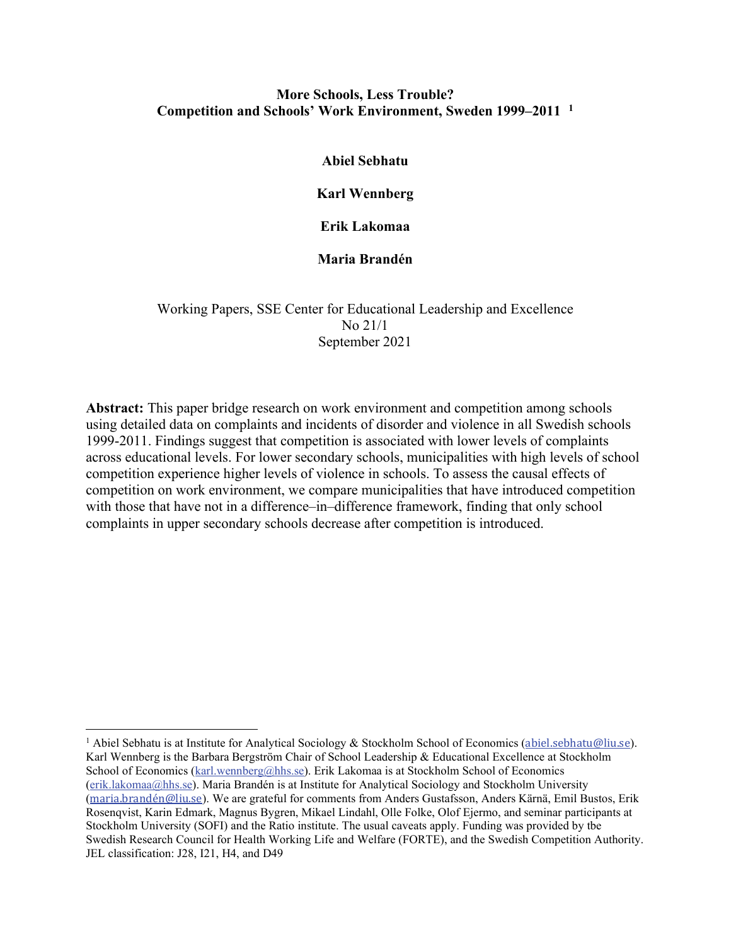## **More Schools, Less Trouble? Competition and Schools' Work Environment, Sweden 1999–2011 [1](#page-0-0)**

**Abiel Sebhatu**

**Karl Wennberg**

**Erik Lakomaa**

**Maria Brandén**

Working Papers, SSE Center for Educational Leadership and Excellence No 21/1 September 2021

**Abstract:** This paper bridge research on work environment and competition among schools using detailed data on complaints and incidents of disorder and violence in all Swedish schools 1999-2011. Findings suggest that competition is associated with lower levels of complaints across educational levels. For lower secondary schools, municipalities with high levels of school competition experience higher levels of violence in schools. To assess the causal effects of competition on work environment, we compare municipalities that have introduced competition with those that have not in a difference–in–difference framework, finding that only school complaints in upper secondary schools decrease after competition is introduced.

<span id="page-0-0"></span><sup>&</sup>lt;sup>1</sup> Abiel Sebhatu is at Institute for Analytical Sociology & Stockholm School of Economics ([abiel.sebhatu@liu.se](mailto:abiel.sebhatu@liu.se)). Karl Wennberg is the Barbara Bergström Chair of School Leadership & Educational Excellence at Stockholm School of Economics [\(karl.wennberg@hhs.se\)](mailto:karl.wennberg@hhs.se). Erik Lakomaa is at Stockholm School of Economics [\(erik.lakomaa@hhs.se\)](mailto:erik.lakomaa@hhs.se). Maria Brandén is at Institute for Analytical Sociology and Stockholm University ([maria.brandén@liu.se](mailto:maria.brand%C3%A9n@liu.se)). We are grateful for comments from Anders Gustafsson, Anders Kärnä, Emil Bustos, Erik Rosenqvist, Karin Edmark, Magnus Bygren, Mikael Lindahl, Olle Folke, Olof Ejermo, and seminar participants at Stockholm University (SOFI) and the Ratio institute. The usual caveats apply. Funding was provided by tbe Swedish Research Council for Health Working Life and Welfare (FORTE), and the Swedish Competition Authority. JEL classification: J28, I21, H4, and D49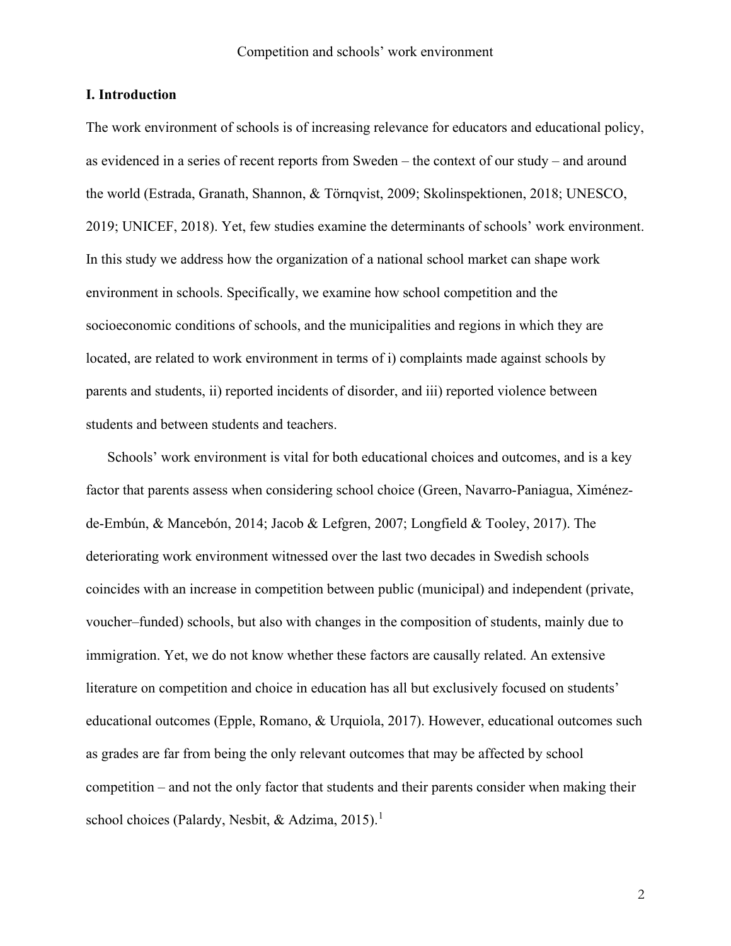#### **I. Introduction**

The work environment of schools is of increasing relevance for educators and educational policy, as evidenced in a series of recent reports from Sweden – the context of our study – and around the world [\(Estrada, Granath, Shannon, & Törnqvist, 2009;](#page-35-0) [Skolinspektionen, 2018;](#page-36-0) [UNESCO,](#page-36-1)  [2019;](#page-36-1) [UNICEF, 2018\)](#page-36-2). Yet, few studies examine the determinants of schools' work environment. In this study we address how the organization of a national school market can shape work environment in schools. Specifically, we examine how school competition and the socioeconomic conditions of schools, and the municipalities and regions in which they are located, are related to work environment in terms of i) complaints made against schools by parents and students, ii) reported incidents of disorder, and iii) reported violence between students and between students and teachers.

Schools' work environment is vital for both educational choices and outcomes, and is a key factor that parents assess when considering school choice [\(Green, Navarro-Paniagua, Ximénez](#page-35-1)[de-Embún, & Mancebón, 2014;](#page-35-1) [Jacob & Lefgren, 2007;](#page-35-2) [Longfield & Tooley, 2017\)](#page-35-3). The deteriorating work environment witnessed over the last two decades in Swedish schools coincides with an increase in competition between public (municipal) and independent (private, voucher–funded) schools, but also with changes in the composition of students, mainly due to immigration. Yet, we do not know whether these factors are causally related. An extensive literature on competition and choice in education has all but exclusively focused on students' educational outcomes [\(Epple, Romano, & Urquiola, 2017\)](#page-35-4). However, educational outcomes such as grades are far from being the only relevant outcomes that may be affected by school competition – and not the only factor that students and their parents consider when making their school choices [\(Palardy, Nesbit, & Adzima, 2015\)](#page-36-3).<sup>[1](#page-39-0)</sup>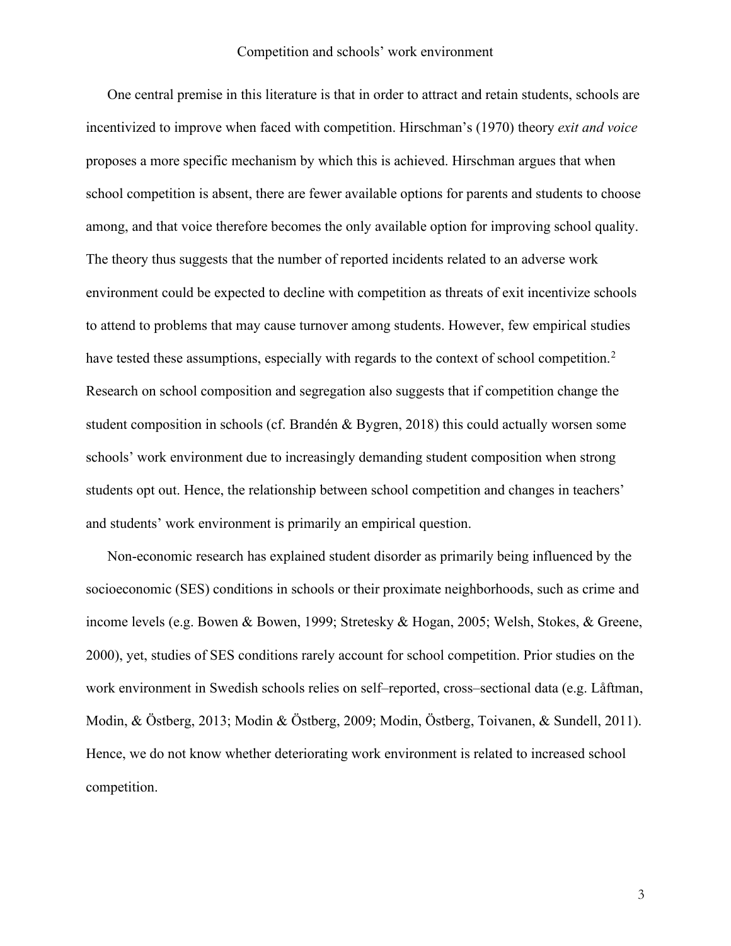One central premise in this literature is that in order to attract and retain students, schools are incentivized to improve when faced with competition. Hirschman's [\(1970\)](#page-35-5) theory *exit and voice* proposes a more specific mechanism by which this is achieved. Hirschman argues that when school competition is absent, there are fewer available options for parents and students to choose among, and that voice therefore becomes the only available option for improving school quality. The theory thus suggests that the number of reported incidents related to an adverse work environment could be expected to decline with competition as threats of exit incentivize schools to attend to problems that may cause turnover among students. However, few empirical studies have tested these assumptions, especially with regards to the context of school competition.<sup>[2](#page-39-1)</sup> Research on school composition and segregation also suggests that if competition change the student composition in schools [\(cf. Brandén & Bygren, 2018\)](#page-34-0) this could actually worsen some schools' work environment due to increasingly demanding student composition when strong students opt out. Hence, the relationship between school competition and changes in teachers' and students' work environment is primarily an empirical question.

Non-economic research has explained student disorder as primarily being influenced by the socioeconomic (SES) conditions in schools or their proximate neighborhoods, such as crime and income levels (e.g. [Bowen & Bowen, 1999;](#page-34-1) [Stretesky & Hogan, 2005;](#page-36-4) [Welsh, Stokes, & Greene,](#page-36-5)  [2000\)](#page-36-5), yet, studies of SES conditions rarely account for school competition. Prior studies on the work environment in Swedish schools relies on self–reported, cross–sectional data (e.g. [Låftman,](#page-36-6)  [Modin, & Östberg, 2013;](#page-36-6) [Modin & Östberg, 2009;](#page-36-7) [Modin, Östberg, Toivanen, & Sundell, 2011\)](#page-36-8). Hence, we do not know whether deteriorating work environment is related to increased school competition.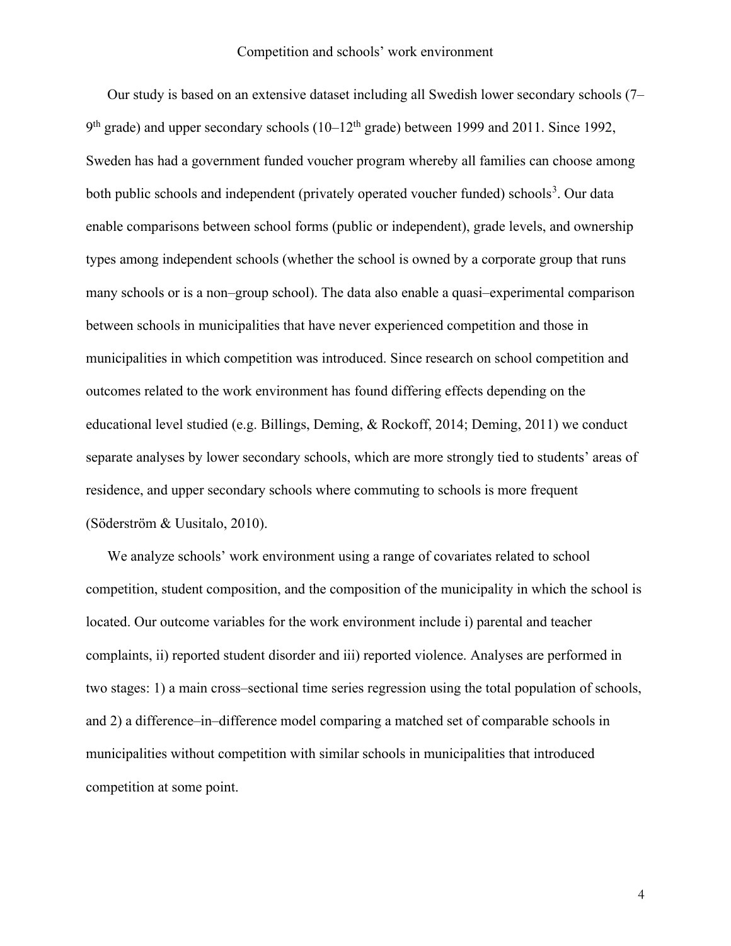Our study is based on an extensive dataset including all Swedish lower secondary schools (7–  $9<sup>th</sup>$  grade) and upper secondary schools (10–12<sup>th</sup> grade) between 1999 and 2011. Since 1992, Sweden has had a government funded voucher program whereby all families can choose among both public schools and independent (privately operated voucher funded) schools<sup>[3](#page-39-2)</sup>. Our data enable comparisons between school forms (public or independent), grade levels, and ownership types among independent schools (whether the school is owned by a corporate group that runs many schools or is a non–group school). The data also enable a quasi–experimental comparison between schools in municipalities that have never experienced competition and those in municipalities in which competition was introduced. Since research on school competition and outcomes related to the work environment has found differing effects depending on the educational level studied (e.g. [Billings, Deming, & Rockoff, 2014;](#page-34-2) [Deming, 2011\)](#page-34-3) we conduct separate analyses by lower secondary schools, which are more strongly tied to students' areas of residence, and upper secondary schools where commuting to schools is more frequent [\(Söderström & Uusitalo, 2010\)](#page-36-9).

We analyze schools' work environment using a range of covariates related to school competition, student composition, and the composition of the municipality in which the school is located. Our outcome variables for the work environment include i) parental and teacher complaints, ii) reported student disorder and iii) reported violence. Analyses are performed in two stages: 1) a main cross–sectional time series regression using the total population of schools, and 2) a difference–in–difference model comparing a matched set of comparable schools in municipalities without competition with similar schools in municipalities that introduced competition at some point.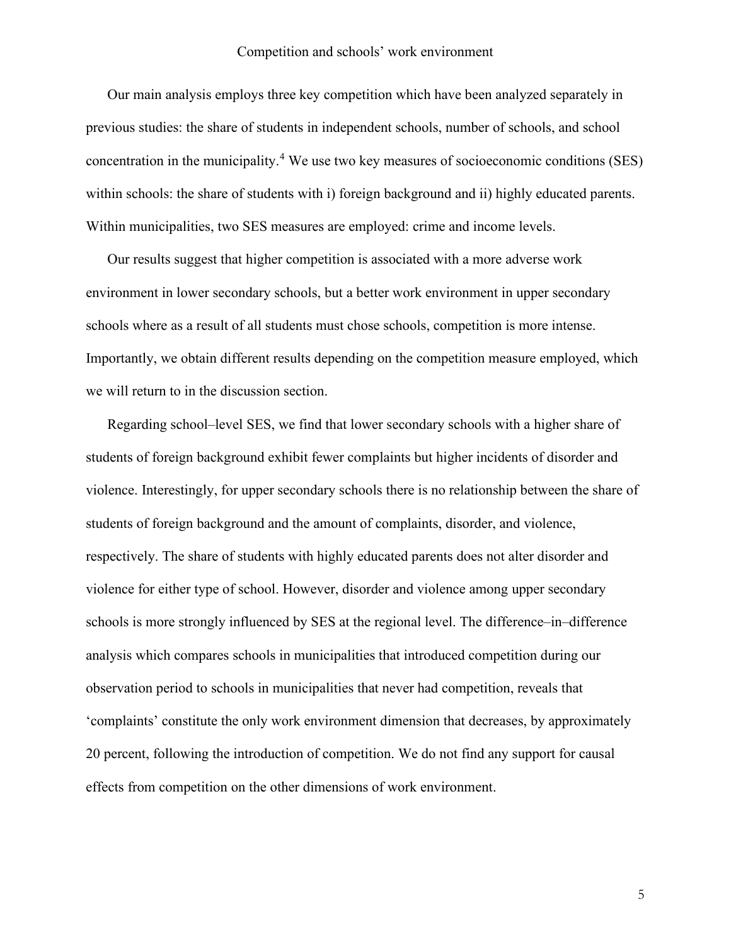Our main analysis employs three key competition which have been analyzed separately in previous studies: the share of students in independent schools, number of schools, and school concentration in the municipality. [4](#page-39-3) We use two key measures of socioeconomic conditions (SES) within schools: the share of students with i) foreign background and ii) highly educated parents. Within municipalities, two SES measures are employed: crime and income levels.

Our results suggest that higher competition is associated with a more adverse work environment in lower secondary schools, but a better work environment in upper secondary schools where as a result of all students must chose schools, competition is more intense. Importantly, we obtain different results depending on the competition measure employed, which we will return to in the discussion section.

Regarding school–level SES, we find that lower secondary schools with a higher share of students of foreign background exhibit fewer complaints but higher incidents of disorder and violence. Interestingly, for upper secondary schools there is no relationship between the share of students of foreign background and the amount of complaints, disorder, and violence, respectively. The share of students with highly educated parents does not alter disorder and violence for either type of school. However, disorder and violence among upper secondary schools is more strongly influenced by SES at the regional level. The difference–in–difference analysis which compares schools in municipalities that introduced competition during our observation period to schools in municipalities that never had competition, reveals that 'complaints' constitute the only work environment dimension that decreases, by approximately 20 percent, following the introduction of competition. We do not find any support for causal effects from competition on the other dimensions of work environment.

5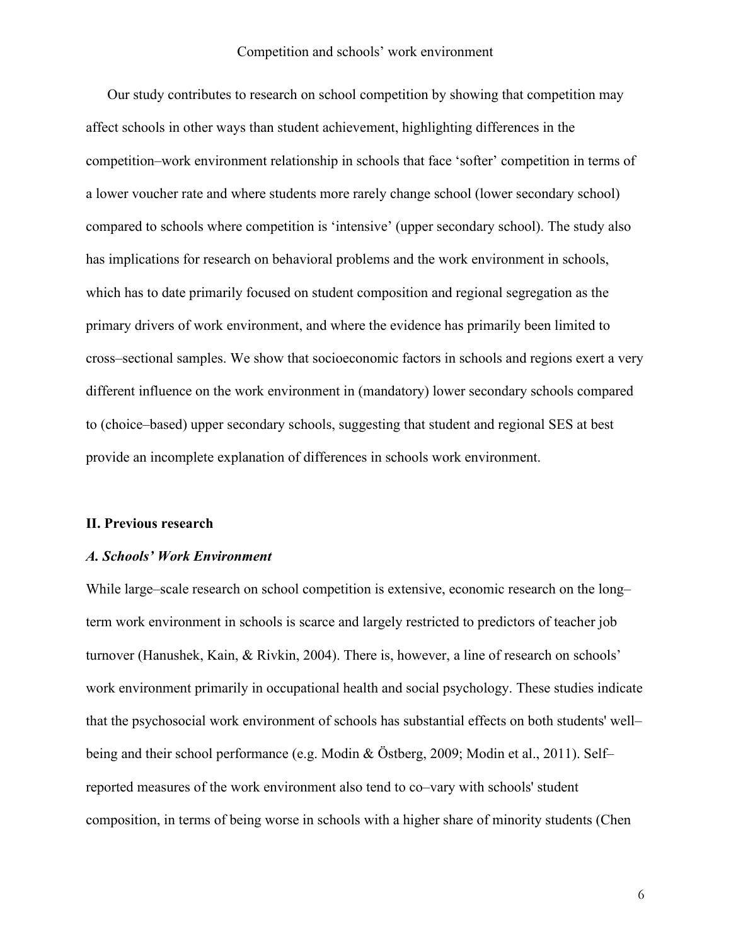Our study contributes to research on school competition by showing that competition may affect schools in other ways than student achievement, highlighting differences in the competition–work environment relationship in schools that face 'softer' competition in terms of a lower voucher rate and where students more rarely change school (lower secondary school) compared to schools where competition is 'intensive' (upper secondary school). The study also has implications for research on behavioral problems and the work environment in schools, which has to date primarily focused on student composition and regional segregation as the primary drivers of work environment, and where the evidence has primarily been limited to cross–sectional samples. We show that socioeconomic factors in schools and regions exert a very different influence on the work environment in (mandatory) lower secondary schools compared to (choice–based) upper secondary schools, suggesting that student and regional SES at best provide an incomplete explanation of differences in schools work environment.

#### **II. Previous research**

#### *A. Schools' Work Environment*

While large–scale research on school competition is extensive, economic research on the long– term work environment in schools is scarce and largely restricted to predictors of teacher job turnover [\(Hanushek, Kain, & Rivkin, 2004\)](#page-35-6). There is, however, a line of research on schools' work environment primarily in occupational health and social psychology. These studies indicate that the psychosocial work environment of schools has substantial effects on both students' well– being and their school performance (e.g. [Modin & Östberg, 2009;](#page-36-7) [Modin et al., 2011\)](#page-36-8). Self– reported measures of the work environment also tend to co–vary with schools' student composition, in terms of being worse in schools with a higher share of minority students [\(Chen](#page-34-4)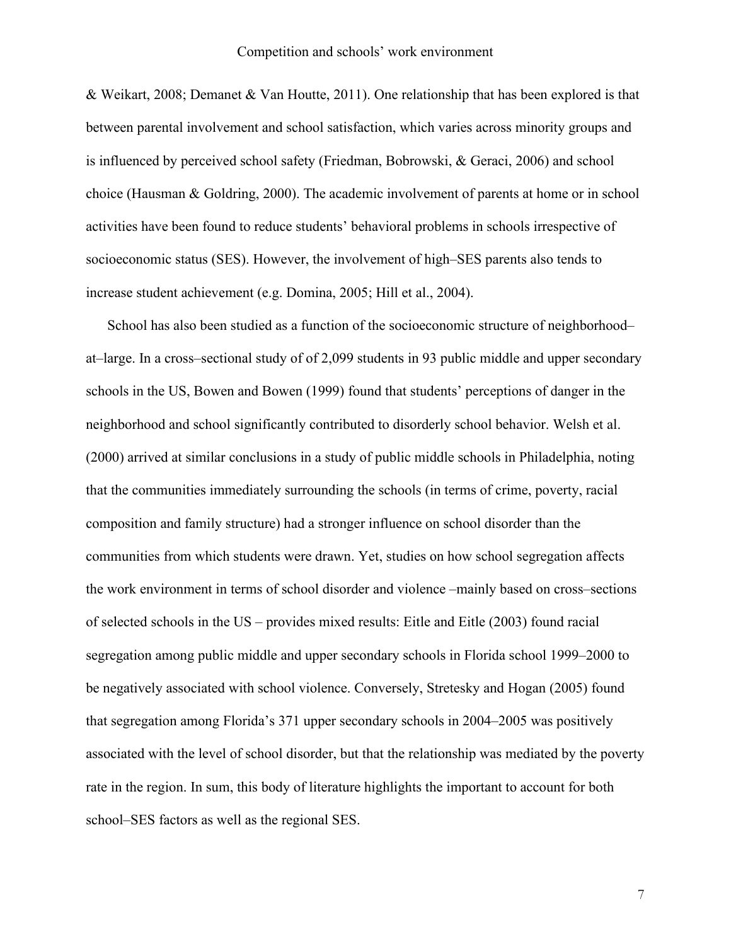[& Weikart, 2008;](#page-34-4) [Demanet & Van Houtte, 2011\)](#page-34-5). One relationship that has been explored is that between parental involvement and school satisfaction, which varies across minority groups and is influenced by perceived school safety [\(Friedman, Bobrowski, & Geraci, 2006\)](#page-35-7) and school choice [\(Hausman & Goldring, 2000\)](#page-35-8). The academic involvement of parents at home or in school activities have been found to reduce students' behavioral problems in schools irrespective of socioeconomic status (SES). However, the involvement of high–SES parents also tends to increase student achievement (e.g. [Domina, 2005;](#page-34-6) [Hill et al., 2004\)](#page-35-9).

School has also been studied as a function of the socioeconomic structure of neighborhood– at–large. In a cross–sectional study of of 2,099 students in 93 public middle and upper secondary schools in the US, [Bowen and Bowen \(1999\)](#page-34-1) found that students' perceptions of danger in the neighborhood and school significantly contributed to disorderly school behavior. [Welsh et al.](#page-36-5)  (2000) arrived at similar conclusions in a study of public middle schools in Philadelphia, noting that the communities immediately surrounding the schools (in terms of crime, poverty, racial composition and family structure) had a stronger influence on school disorder than the communities from which students were drawn. Yet, studies on how school segregation affects the work environment in terms of school disorder and violence –mainly based on cross–sections of selected schools in the US – provides mixed results: [Eitle and Eitle \(2003\)](#page-35-10) found racial segregation among public middle and upper secondary schools in Florida school 1999–2000 to be negatively associated with school violence. Conversely, [Stretesky and Hogan \(2005\)](#page-36-4) found that segregation among Florida's 371 upper secondary schools in 2004–2005 was positively associated with the level of school disorder, but that the relationship was mediated by the poverty rate in the region. In sum, this body of literature highlights the important to account for both school–SES factors as well as the regional SES.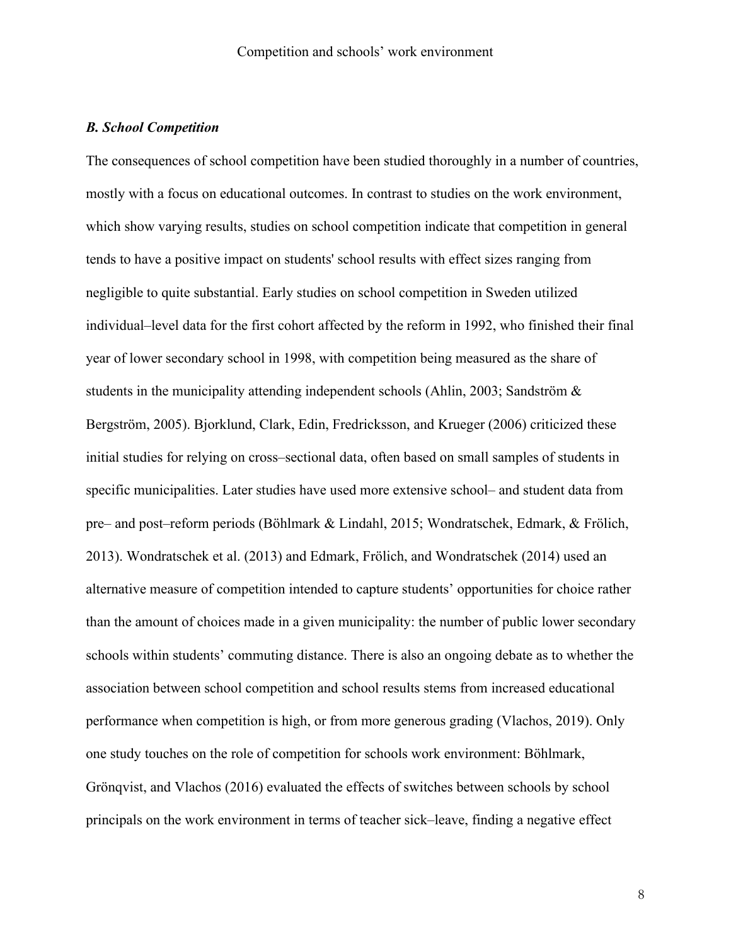## *B. School Competition*

The consequences of school competition have been studied thoroughly in a number of countries, mostly with a focus on educational outcomes. In contrast to studies on the work environment, which show varying results, studies on school competition indicate that competition in general tends to have a positive impact on students' school results with effect sizes ranging from negligible to quite substantial. Early studies on school competition in Sweden utilized individual–level data for the first cohort affected by the reform in 1992, who finished their final year of lower secondary school in 1998, with competition being measured as the share of students in the municipality attending independent schools [\(Ahlin, 2003;](#page-34-7) [Sandström &](#page-36-10)  [Bergström, 2005\)](#page-36-10). Bjorklund, Clark, Edin, [Fredricksson, and Krueger \(2006\)](#page-34-8) criticized these initial studies for relying on cross–sectional data, often based on small samples of students in specific municipalities. Later studies have used more extensive school– and student data from pre– and post–reform periods [\(Böhlmark & Lindahl, 2015;](#page-34-9) [Wondratschek, Edmark, & Frölich,](#page-36-11)  [2013\)](#page-36-11). [Wondratschek et al. \(2013\)](#page-36-11) and [Edmark, Frölich, and Wondratschek \(2014\)](#page-34-10) used an alternative measure of competition intended to capture students' opportunities for choice rather than the amount of choices made in a given municipality: the number of public lower secondary schools within students' commuting distance. There is also an ongoing debate as to whether the association between school competition and school results stems from increased educational performance when competition is high, or from more generous grading [\(Vlachos, 2019\)](#page-36-12). Only one study touches on the role of competition for schools work environment: [Böhlmark,](#page-34-11)  Grönqvist, and Vlachos (2016) evaluated the effects of switches between schools by school principals on the work environment in terms of teacher sick–leave, finding a negative effect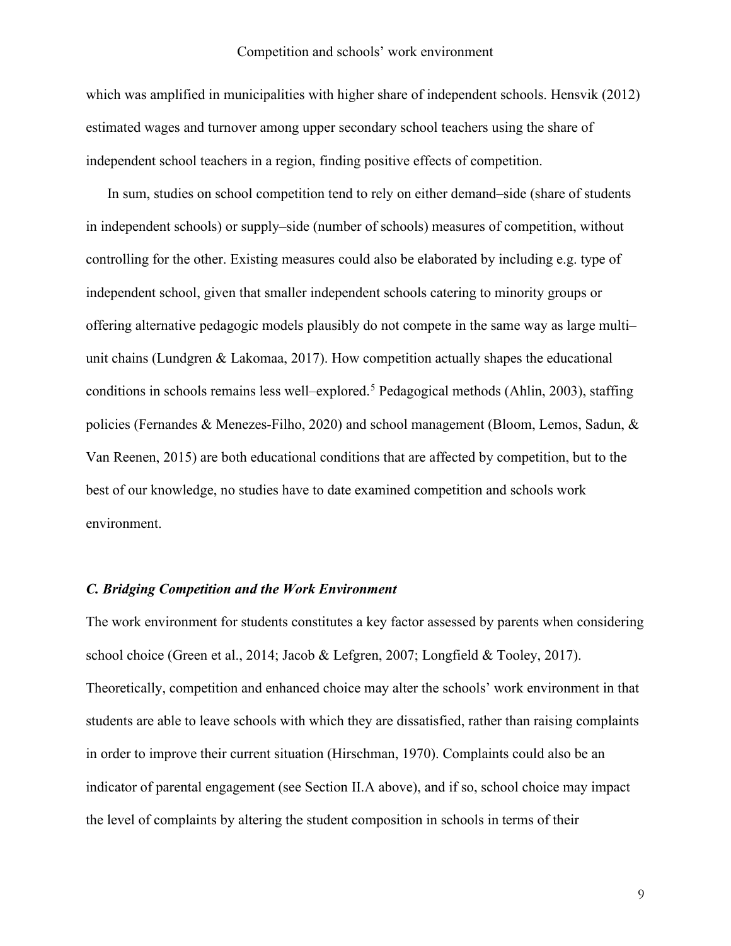which was amplified in municipalities with higher share of independent schools. [Hensvik \(2012\)](#page-35-11) estimated wages and turnover among upper secondary school teachers using the share of independent school teachers in a region, finding positive effects of competition.

In sum, studies on school competition tend to rely on either demand–side (share of students in independent schools) or supply–side (number of schools) measures of competition, without controlling for the other. Existing measures could also be elaborated by including e.g. type of independent school, given that smaller independent schools catering to minority groups or offering alternative pedagogic models plausibly do not compete in the same way as large multi– unit chains [\(Lundgren & Lakomaa, 2017\)](#page-35-12). How competition actually shapes the educational conditions in schools remains less well–explored.[5](#page-39-4) Pedagogical methods [\(Ahlin, 2003\)](#page-34-7), staffing policies [\(Fernandes & Menezes-Filho, 2020\)](#page-35-13) and school management [\(Bloom, Lemos, Sadun, &](#page-34-12)  [Van Reenen, 2015\)](#page-34-12) are both educational conditions that are affected by competition, but to the best of our knowledge, no studies have to date examined competition and schools work environment.

## *C. Bridging Competition and the Work Environment*

The work environment for students constitutes a key factor assessed by parents when considering school choice [\(Green et al., 2014;](#page-35-1) [Jacob & Lefgren, 2007;](#page-35-2) [Longfield & Tooley, 2017\)](#page-35-3). Theoretically, competition and enhanced choice may alter the schools' work environment in that students are able to leave schools with which they are dissatisfied, rather than raising complaints in order to improve their current situation [\(Hirschman, 1970\)](#page-35-5). Complaints could also be an indicator of parental engagement (see Section II.A above), and if so, school choice may impact the level of complaints by altering the student composition in schools in terms of their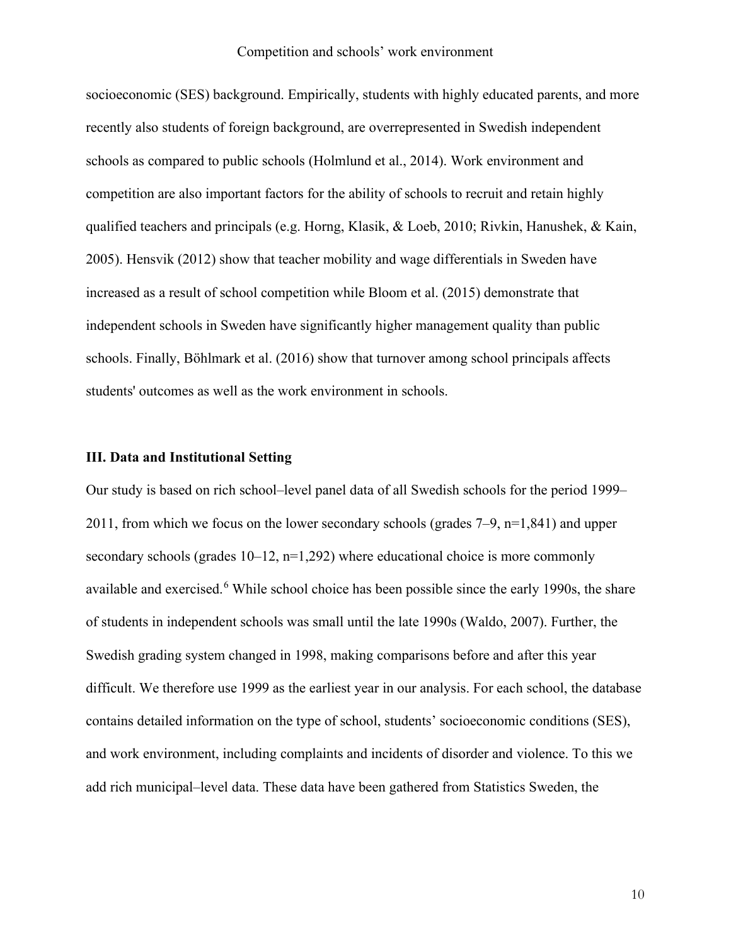socioeconomic (SES) background. Empirically, students with highly educated parents, and more recently also students of foreign background, are overrepresented in Swedish independent schools as compared to public schools [\(Holmlund et al., 2014\)](#page-35-14). Work environment and competition are also important factors for the ability of schools to recruit and retain highly qualified teachers and principals (e.g. [Horng, Klasik, & Loeb, 2010;](#page-35-15) [Rivkin, Hanushek, & Kain,](#page-36-13)  [2005\)](#page-36-13). [Hensvik \(2012\)](#page-35-11) show that teacher mobility and wage differentials in Sweden have increased as a result of school competition while [Bloom et al. \(2015\)](#page-34-12) demonstrate that independent schools in Sweden have significantly higher management quality than public schools. Finally, [Böhlmark et al. \(2016\)](#page-34-11) show that turnover among school principals affects students' outcomes as well as the work environment in schools.

## **III. Data and Institutional Setting**

Our study is based on rich school–level panel data of all Swedish schools for the period 1999– 2011, from which we focus on the lower secondary schools (grades  $7-9$ ,  $n=1,841$ ) and upper secondary schools (grades  $10-12$ ,  $n=1,292$ ) where educational choice is more commonly available and exercised.<sup>[6](#page-39-5)</sup> While school choice has been possible since the early 1990s, the share of students in independent schools was small until the late 1990s [\(Waldo, 2007\)](#page-36-14). Further, the Swedish grading system changed in 1998, making comparisons before and after this year difficult. We therefore use 1999 as the earliest year in our analysis. For each school, the database contains detailed information on the type of school, students' socioeconomic conditions (SES), and work environment, including complaints and incidents of disorder and violence. To this we add rich municipal–level data. These data have been gathered from Statistics Sweden, the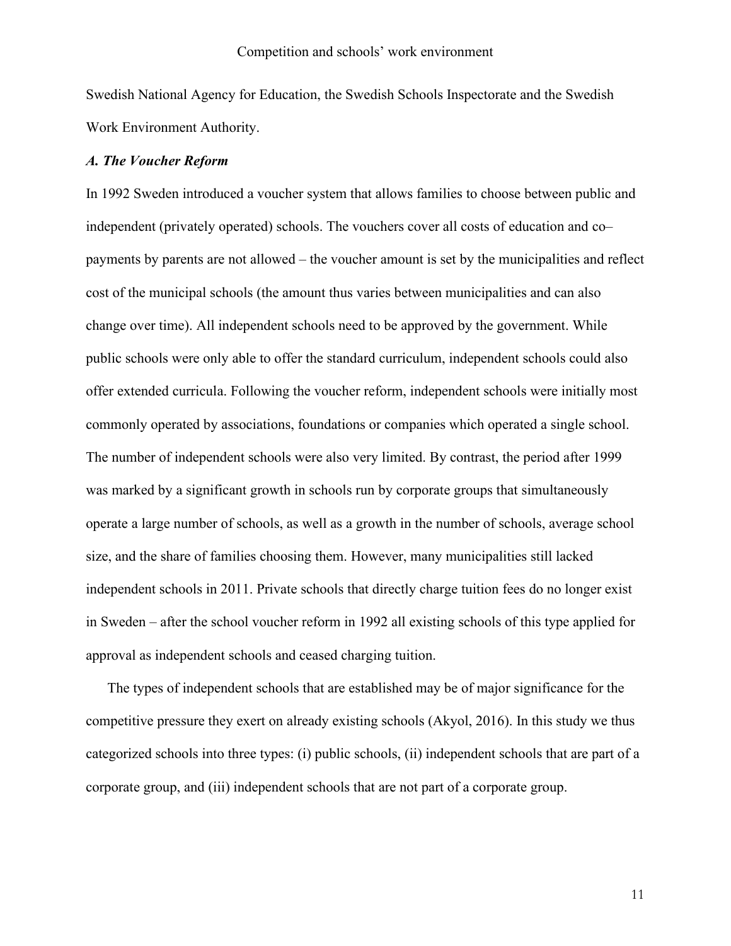Swedish National Agency for Education, the Swedish Schools Inspectorate and the Swedish Work Environment Authority.

#### *A. The Voucher Reform*

In 1992 Sweden introduced a voucher system that allows families to choose between public and independent (privately operated) schools. The vouchers cover all costs of education and co– payments by parents are not allowed – the voucher amount is set by the municipalities and reflect cost of the municipal schools (the amount thus varies between municipalities and can also change over time). All independent schools need to be approved by the government. While public schools were only able to offer the standard curriculum, independent schools could also offer extended curricula. Following the voucher reform, independent schools were initially most commonly operated by associations, foundations or companies which operated a single school. The number of independent schools were also very limited. By contrast, the period after 1999 was marked by a significant growth in schools run by corporate groups that simultaneously operate a large number of schools, as well as a growth in the number of schools, average school size, and the share of families choosing them. However, many municipalities still lacked independent schools in 2011. Private schools that directly charge tuition fees do no longer exist in Sweden – after the school voucher reform in 1992 all existing schools of this type applied for approval as independent schools and ceased charging tuition.

The types of independent schools that are established may be of major significance for the competitive pressure they exert on already existing schools [\(Akyol, 2016\)](#page-34-13). In this study we thus categorized schools into three types: (i) public schools, (ii) independent schools that are part of a corporate group, and (iii) independent schools that are not part of a corporate group.

11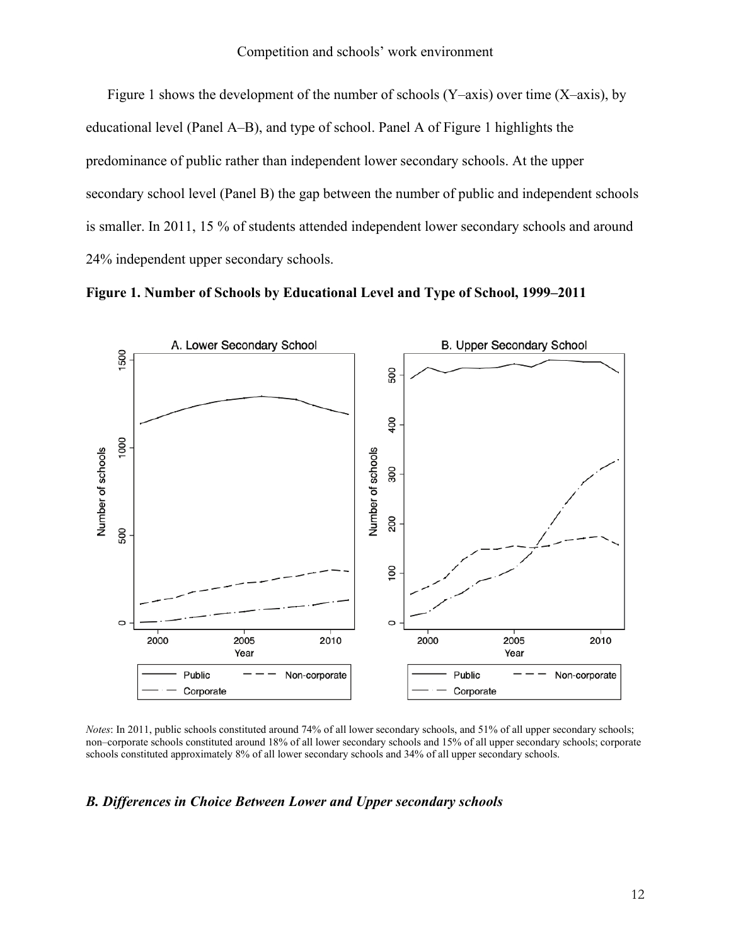Figure 1 shows the development of the number of schools (Y–axis) over time (X–axis), by educational level (Panel A–B), and type of school. Panel A of Figure 1 highlights the predominance of public rather than independent lower secondary schools. At the upper secondary school level (Panel B) the gap between the number of public and independent schools is smaller. In 2011, 15 % of students attended independent lower secondary schools and around 24% independent upper secondary schools.





*Notes*: In 2011, public schools constituted around 74% of all lower secondary schools, and 51% of all upper secondary schools; non–corporate schools constituted around 18% of all lower secondary schools and 15% of all upper secondary schools; corporate schools constituted approximately 8% of all lower secondary schools and 34% of all upper secondary schools.

## *B. Differences in Choice Between Lower and Upper secondary schools*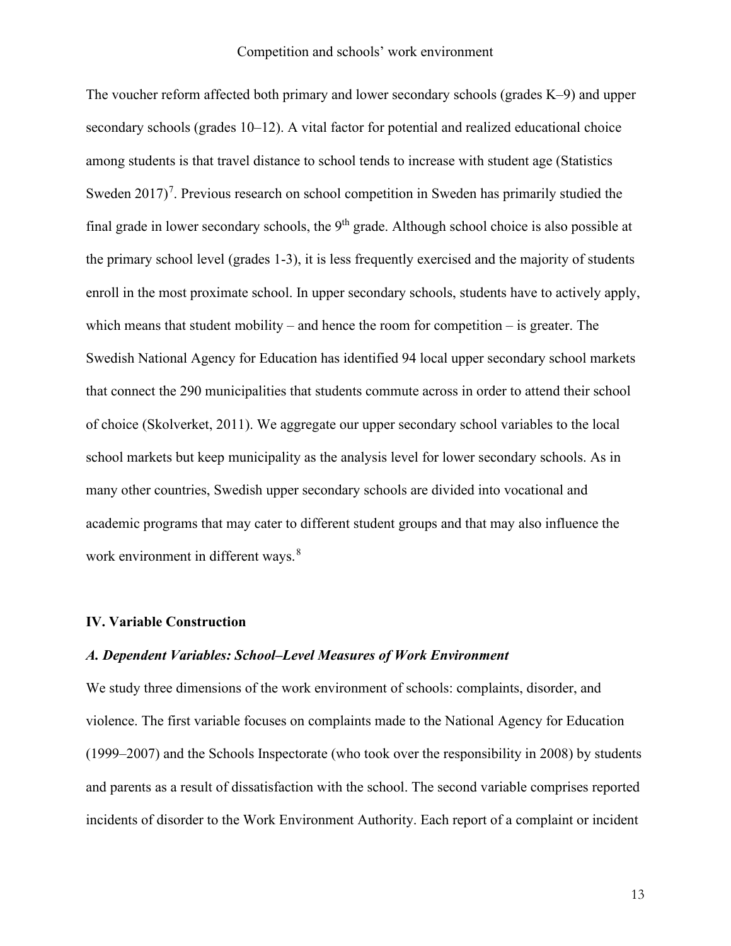The voucher reform affected both primary and lower secondary schools (grades K–9) and upper secondary schools (grades 10–12). A vital factor for potential and realized educational choice among students is that travel distance to school tends to increase with student age (Statistics Sweden  $2017$  $2017$ <sup>7</sup>. Previous research on school competition in Sweden has primarily studied the final grade in lower secondary schools, the  $9<sup>th</sup>$  grade. Although school choice is also possible at the primary school level (grades 1-3), it is less frequently exercised and the majority of students enroll in the most proximate school. In upper secondary schools, students have to actively apply, which means that student mobility – and hence the room for competition – is greater. The Swedish National Agency for Education has identified 94 local upper secondary school markets that connect the 290 municipalities that students commute across in order to attend their school of choice [\(Skolverket, 2011\)](#page-36-15). We aggregate our upper secondary school variables to the local school markets but keep municipality as the analysis level for lower secondary schools. As in many other countries, Swedish upper secondary schools are divided into vocational and academic programs that may cater to different student groups and that may also influence the work environment in different ways.<sup>[8](#page-39-7)</sup>

#### **IV. Variable Construction**

#### *A. Dependent Variables: School–Level Measures of Work Environment*

We study three dimensions of the work environment of schools: complaints, disorder, and violence. The first variable focuses on complaints made to the National Agency for Education (1999–2007) and the Schools Inspectorate (who took over the responsibility in 2008) by students and parents as a result of dissatisfaction with the school. The second variable comprises reported incidents of disorder to the Work Environment Authority. Each report of a complaint or incident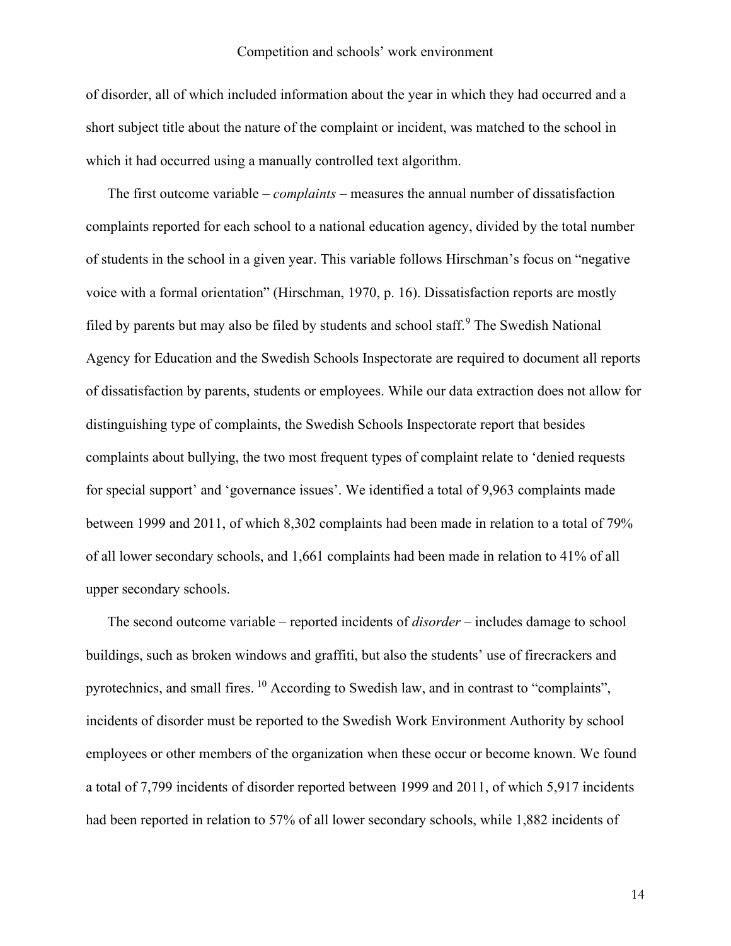of disorder, all of which included information about the year in which they had occurred and a short subject title about the nature of the complaint or incident, was matched to the school in which it had occurred using a manually controlled text algorithm.

The first outcome variable – *complaints* – measures the annual number of dissatisfaction complaints reported for each school to a national education agency, divided by the total number of students in the school in a given year. This variable follows Hirschman's focus on "negative voice with a formal orientation" [\(Hirschman, 1970, p. 16\)](#page-35-5). Dissatisfaction reports are mostly filed by parents but may also be filed by students and school staff.<sup>[9](#page-39-8)</sup> The Swedish National Agency for Education and the Swedish Schools Inspectorate are required to document all reports of dissatisfaction by parents, students or employees. While our data extraction does not allow for distinguishing type of complaints, the Swedish Schools Inspectorate report that besides complaints about bullying, the two most frequent types of complaint relate to 'denied requests for special support' and 'governance issues'. We identified a total of 9,963 complaints made between 1999 and 2011, of which 8,302 complaints had been made in relation to a total of 79% of all lower secondary schools, and 1,661 complaints had been made in relation to 41% of all upper secondary schools.

The second outcome variable – reported incidents of *disorder* – includes damage to school buildings, such as broken windows and graffiti, but also the students' use of firecrackers and pyrotechnics, and small fires. [10](#page-39-9) According to Swedish law, and in contrast to "complaints", incidents of disorder must be reported to the Swedish Work Environment Authority by school employees or other members of the organization when these occur or become known. We found a total of 7,799 incidents of disorder reported between 1999 and 2011, of which 5,917 incidents had been reported in relation to 57% of all lower secondary schools, while 1,882 incidents of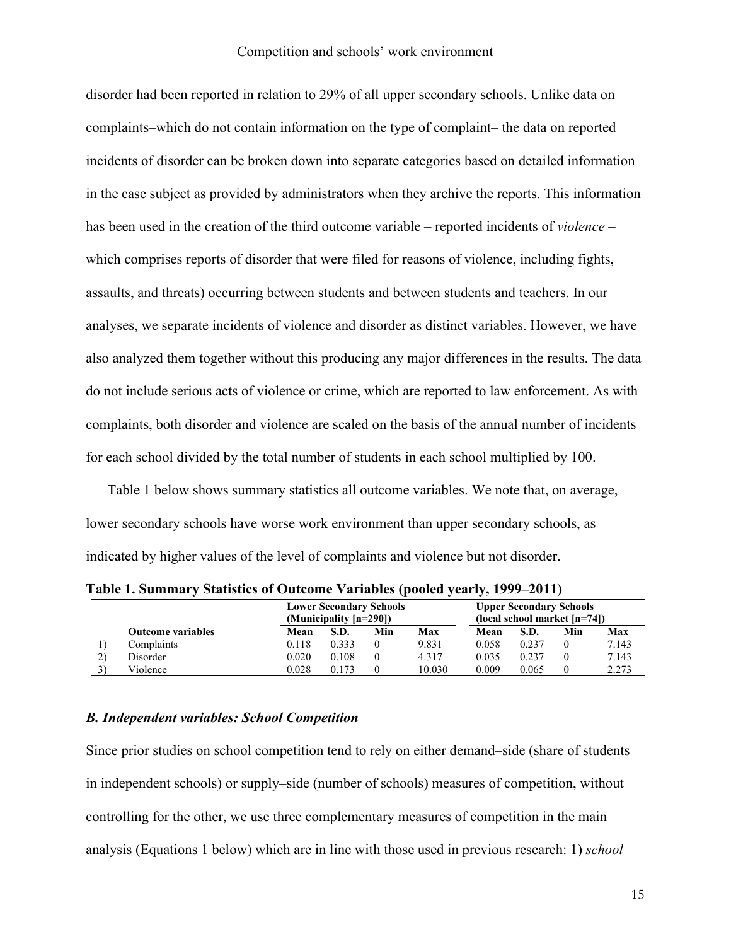disorder had been reported in relation to 29% of all upper secondary schools. Unlike data on complaints–which do not contain information on the type of complaint– the data on reported incidents of disorder can be broken down into separate categories based on detailed information in the case subject as provided by administrators when they archive the reports. This information has been used in the creation of the third outcome variable – reported incidents of *violence* – which comprises reports of disorder that were filed for reasons of violence, including fights, assaults, and threats) occurring between students and between students and teachers. In our analyses, we separate incidents of violence and disorder as distinct variables. However, we have also analyzed them together without this producing any major differences in the results. The data do not include serious acts of violence or crime, which are reported to law enforcement. As with complaints, both disorder and violence are scaled on the basis of the annual number of incidents for each school divided by the total number of students in each school multiplied by 100.

Table 1 below shows summary statistics all outcome variables. We note that, on average, lower secondary schools have worse work environment than upper secondary schools, as indicated by higher values of the level of complaints and violence but not disorder.

|                          | <b>Lower Secondary Schools</b><br>(Municipality [n=290]) |       |     | <b>Upper Secondary Schools</b><br>$(local school market [n=74])$ |       |       |     |       |
|--------------------------|----------------------------------------------------------|-------|-----|------------------------------------------------------------------|-------|-------|-----|-------|
| <b>Outcome variables</b> | Mean                                                     | S.D.  | Min | Max                                                              | Mean  | S.D.  | Min | Max   |
| Complaints               | 0.118                                                    | 0.333 |     | 9.831                                                            | 0.058 | 0.237 |     | 7.143 |
| Disorder                 | 0.020                                                    | 0.108 |     | 4.317                                                            | 0.035 | 0.237 |     | 7.143 |
| Violence                 | 0.028                                                    | 0.173 |     | 10.030                                                           | 0.009 | 0.065 |     | 2.273 |

**Table 1. Summary Statistics of Outcome Variables (pooled yearly, 1999–2011)**

## *B. Independent variables: School Competition*

Since prior studies on school competition tend to rely on either demand–side (share of students in independent schools) or supply–side (number of schools) measures of competition, without controlling for the other, we use three complementary measures of competition in the main analysis (Equations 1 below) which are in line with those used in previous research: 1) *school*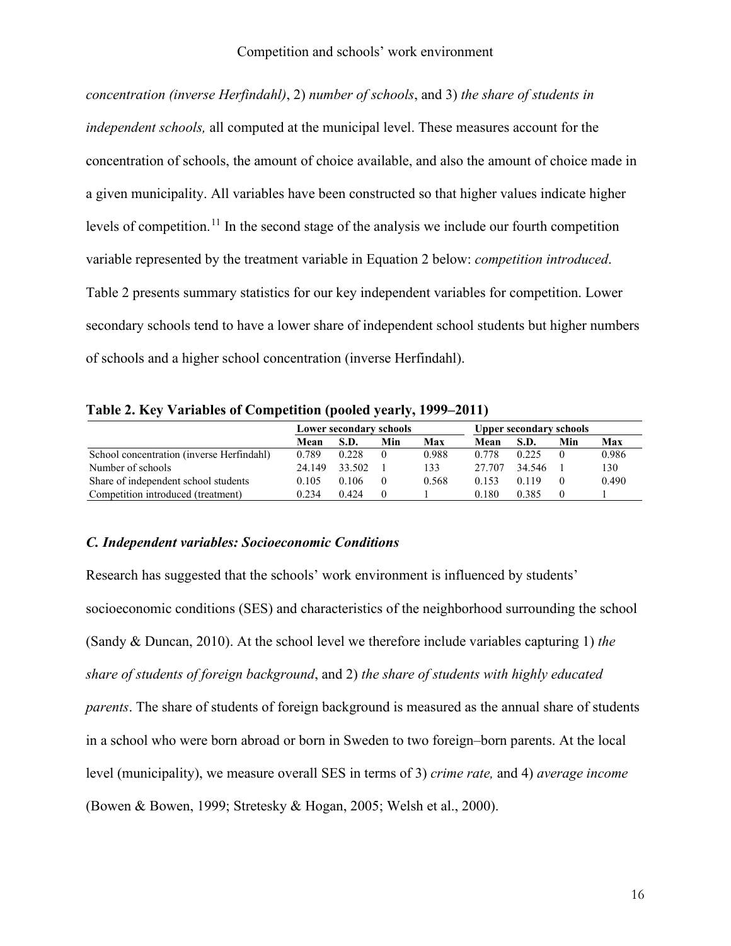*concentration (inverse Herfindahl)*, 2) *number of schools*, and 3) *the share of students in independent schools,* all computed at the municipal level. These measures account for the concentration of schools, the amount of choice available, and also the amount of choice made in a given municipality. All variables have been constructed so that higher values indicate higher levels of competition.<sup>[11](#page-39-10)</sup> In the second stage of the analysis we include our fourth competition variable represented by the treatment variable in Equation 2 below: *competition introduced*. Table 2 presents summary statistics for our key independent variables for competition. Lower secondary schools tend to have a lower share of independent school students but higher numbers of schools and a higher school concentration (inverse Herfindahl).

**Table 2. Key Variables of Competition (pooled yearly, 1999–2011)**

|                                           | Lower secondary schools |        |          |       | <b>Upper secondary schools</b> |        |          |       |
|-------------------------------------------|-------------------------|--------|----------|-------|--------------------------------|--------|----------|-------|
|                                           | Mean                    | S.D.   | Min      | Max   | Mean                           | S.D.   | Min      | Max   |
| School concentration (inverse Herfindahl) | 0.789                   | 0.228  | $\theta$ | 0.988 | 0.778                          | 0.225  | $\theta$ | 0.986 |
| Number of schools                         | 24.149                  | 33.502 |          | 133   | 27.707                         | 34.546 |          | 130   |
| Share of independent school students      | 0.105                   | 0.106  | $\theta$ | 0.568 | 0.153                          | 0.119  | $\theta$ | 0.490 |
| Competition introduced (treatment)        | 0.234                   | 0.424  | $\Omega$ |       | 0.180                          | 0.385  | $\theta$ |       |

## *C. Independent variables: Socioeconomic Conditions*

Research has suggested that the schools' work environment is influenced by students' socioeconomic conditions (SES) and characteristics of the neighborhood surrounding the school [\(Sandy & Duncan, 2010\)](#page-36-16). At the school level we therefore include variables capturing 1) *the share of students of foreign background*, and 2) *the share of students with highly educated parents*. The share of students of foreign background is measured as the annual share of students in a school who were born abroad or born in Sweden to two foreign–born parents. At the local level (municipality), we measure overall SES in terms of 3) *crime rate,* and 4) *average income* [\(Bowen & Bowen, 1999;](#page-34-1) [Stretesky & Hogan, 2005;](#page-36-4) [Welsh et al., 2000\)](#page-36-5).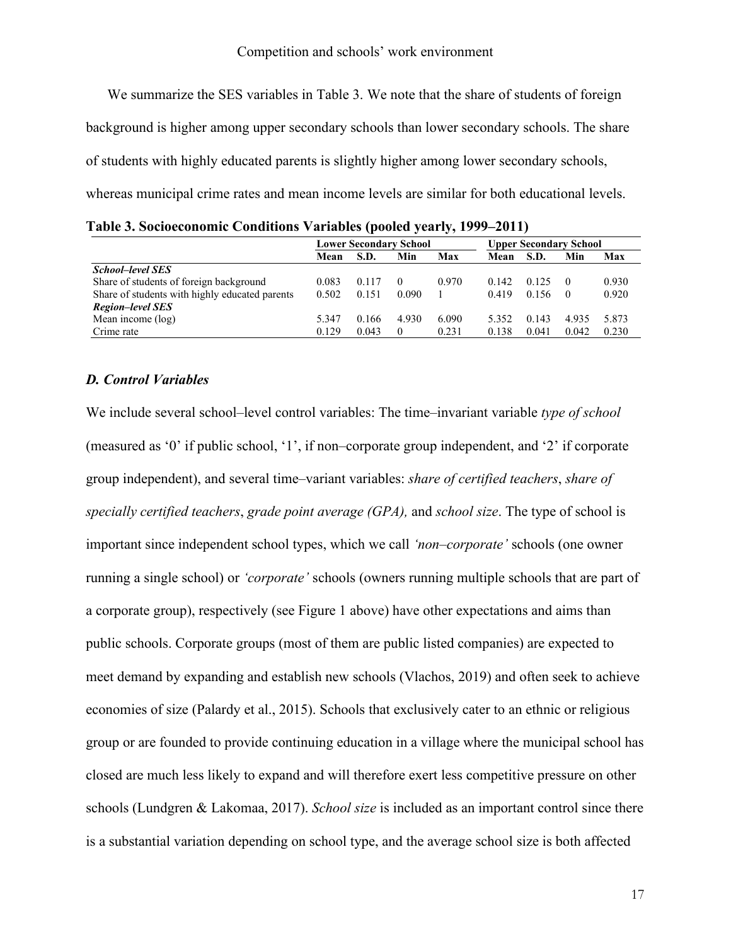We summarize the SES variables in Table 3. We note that the share of students of foreign background is higher among upper secondary schools than lower secondary schools. The share of students with highly educated parents is slightly higher among lower secondary schools, whereas municipal crime rates and mean income levels are similar for both educational levels.

**Table 3. Socioeconomic Conditions Variables (pooled yearly, 1999–2011)**

|                                                | <b>Lower Secondary School</b> |       |       | <b>Upper Secondary School</b> |       |       |       |       |
|------------------------------------------------|-------------------------------|-------|-------|-------------------------------|-------|-------|-------|-------|
|                                                | Mean                          | S.D.  | Min   | Max                           | Mean  | S.D.  | Min   | Max   |
| <b>School-level SES</b>                        |                               |       |       |                               |       |       |       |       |
| Share of students of foreign background        | 0.083                         | 0.117 |       | 0.970                         | 0.142 | 0.125 |       | 0.930 |
| Share of students with highly educated parents | 0.502                         | 0.151 | 0.090 |                               | 0.419 | 0.156 | - 0   | 0.920 |
| Region-level SES                               |                               |       |       |                               |       |       |       |       |
| Mean income (log)                              | 5.347                         | 0.166 | 4.930 | 6.090                         | 5.352 | 0.143 | 4.935 | 5.873 |
| Crime rate                                     | 0.129                         | 0.043 | 0     | 0.231                         | 0.138 | 0.041 | 0.042 | 0.230 |

## *D. Control Variables*

We include several school–level control variables: The time–invariant variable *type of school*  (measured as '0' if public school, '1', if non–corporate group independent, and '2' if corporate group independent), and several time–variant variables: *share of certified teachers*, *share of specially certified teachers*, *grade point average (GPA),* and *school size*. The type of school is important since independent school types, which we call *'non–corporate'* schools (one owner running a single school) or *'corporate'* schools (owners running multiple schools that are part of a corporate group), respectively (see Figure 1 above) have other expectations and aims than public schools. Corporate groups (most of them are public listed companies) are expected to meet demand by expanding and establish new schools [\(Vlachos, 2019\)](#page-36-12) and often seek to achieve economies of size [\(Palardy et al., 2015\)](#page-36-3). Schools that exclusively cater to an ethnic or religious group or are founded to provide continuing education in a village where the municipal school has closed are much less likely to expand and will therefore exert less competitive pressure on other schools [\(Lundgren & Lakomaa, 2017\)](#page-35-12). *School size* is included as an important control since there is a substantial variation depending on school type, and the average school size is both affected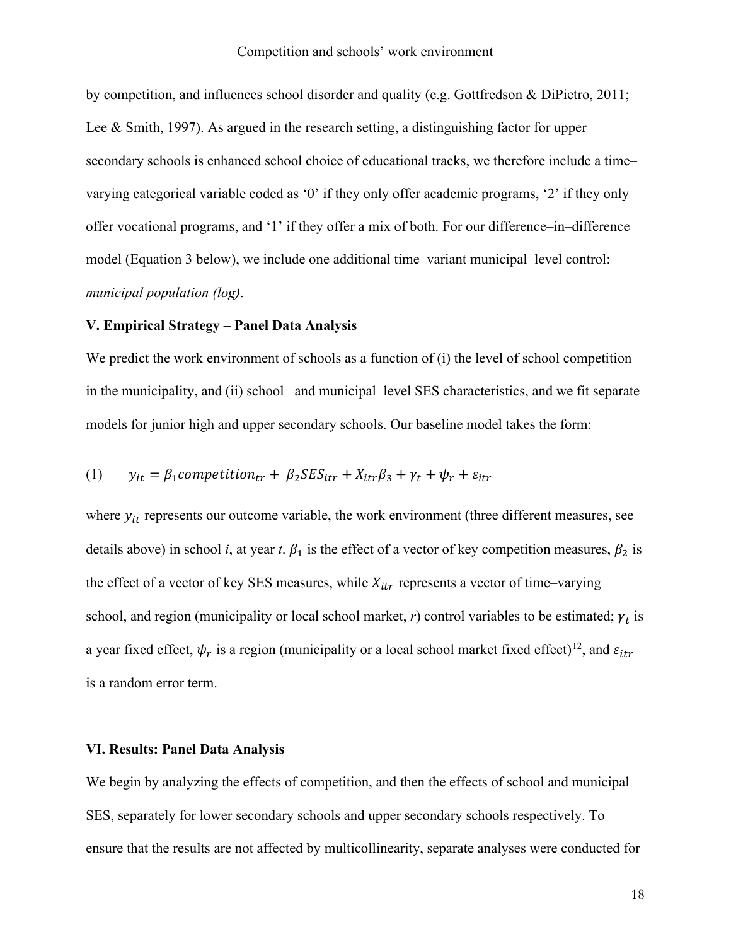by competition, and influences school disorder and quality (e.g. [Gottfredson & DiPietro, 2011;](#page-35-16) [Lee & Smith, 1997\)](#page-35-17). As argued in the research setting, a distinguishing factor for upper secondary schools is enhanced school choice of educational tracks, we therefore include a time– varying categorical variable coded as '0' if they only offer academic programs, '2' if they only offer vocational programs, and '1' if they offer a mix of both. For our difference–in–difference model (Equation 3 below), we include one additional time–variant municipal–level control: *municipal population (log)*.

## **V. Empirical Strategy – Panel Data Analysis**

We predict the work environment of schools as a function of (i) the level of school competition in the municipality, and (ii) school– and municipal–level SES characteristics, and we fit separate models for junior high and upper secondary schools. Our baseline model takes the form:

(1) 
$$
y_{it} = \beta_1
$$
 competition<sub>tr</sub> +  $\beta_2$  SES<sub>itr</sub> +  $X_{itr}\beta_3$  +  $\gamma_t$  +  $\psi_r$  +  $\varepsilon_{itr}$ 

where  $y_{it}$  represents our outcome variable, the work environment (three different measures, see details above) in school *i*, at year *t*.  $\beta_1$  is the effect of a vector of key competition measures,  $\beta_2$  is the effect of a vector of key SES measures, while  $X_{itr}$  represents a vector of time–varying school, and region (municipality or local school market,  $r$ ) control variables to be estimated;  $\gamma_t$  is a year fixed effect,  $\psi_r$  is a region (municipality or a local school market fixed effect)<sup>12</sup>, and  $\varepsilon_{it}$ is a random error term.

## **VI. Results: Panel Data Analysis**

We begin by analyzing the effects of competition, and then the effects of school and municipal SES, separately for lower secondary schools and upper secondary schools respectively. To ensure that the results are not affected by multicollinearity, separate analyses were conducted for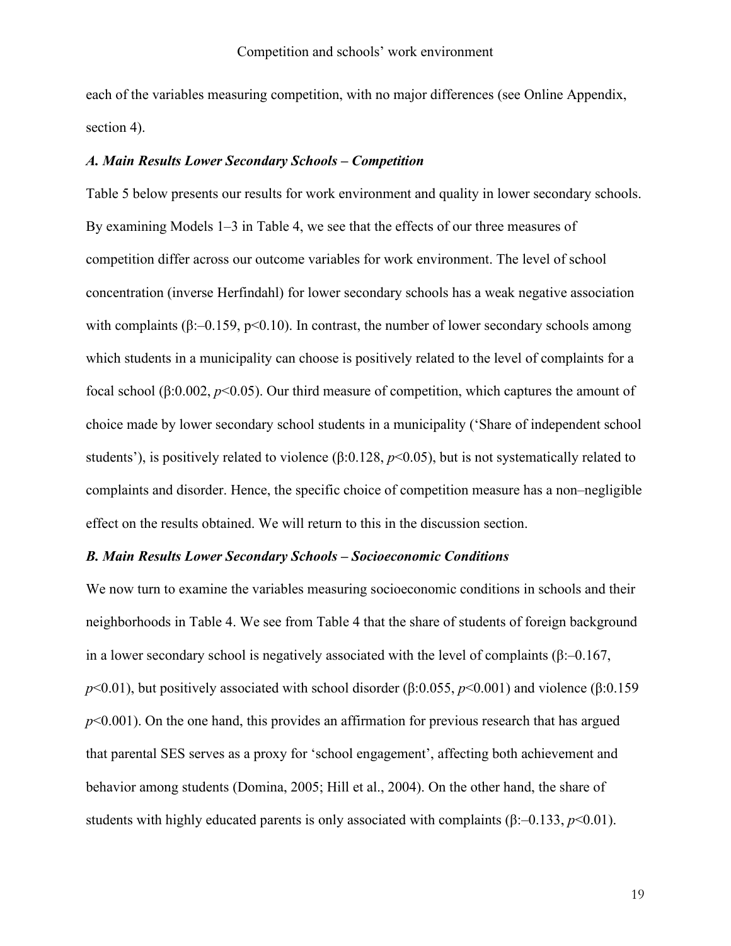each of the variables measuring competition, with no major differences (see Online Appendix, section 4).

#### *A. Main Results Lower Secondary Schools – Competition*

Table 5 below presents our results for work environment and quality in lower secondary schools. By examining Models 1–3 in Table 4, we see that the effects of our three measures of competition differ across our outcome variables for work environment. The level of school concentration (inverse Herfindahl) for lower secondary schools has a weak negative association with complaints ( $\beta$ :–0.159, p<0.10). In contrast, the number of lower secondary schools among which students in a municipality can choose is positively related to the level of complaints for a focal school (β:0.002, *p*<0.05). Our third measure of competition, which captures the amount of choice made by lower secondary school students in a municipality ('Share of independent school students'), is positively related to violence (β:0.128, *p*<0.05), but is not systematically related to complaints and disorder. Hence, the specific choice of competition measure has a non–negligible effect on the results obtained. We will return to this in the discussion section.

## *B. Main Results Lower Secondary Schools – Socioeconomic Conditions*

We now turn to examine the variables measuring socioeconomic conditions in schools and their neighborhoods in Table 4. We see from Table 4 that the share of students of foreign background in a lower secondary school is negatively associated with the level of complaints ( $\beta$ :–0.167, *p*<0.01), but positively associated with school disorder (β:0.055, *p*<0.001) and violence (β:0.159 *p*<0.001). On the one hand, this provides an affirmation for previous research that has argued that parental SES serves as a proxy for 'school engagement', affecting both achievement and behavior among students [\(Domina, 2005;](#page-34-6) [Hill et al., 2004\)](#page-35-9). On the other hand, the share of students with highly educated parents is only associated with complaints  $(\beta$ :–0.133,  $p$ <0.01).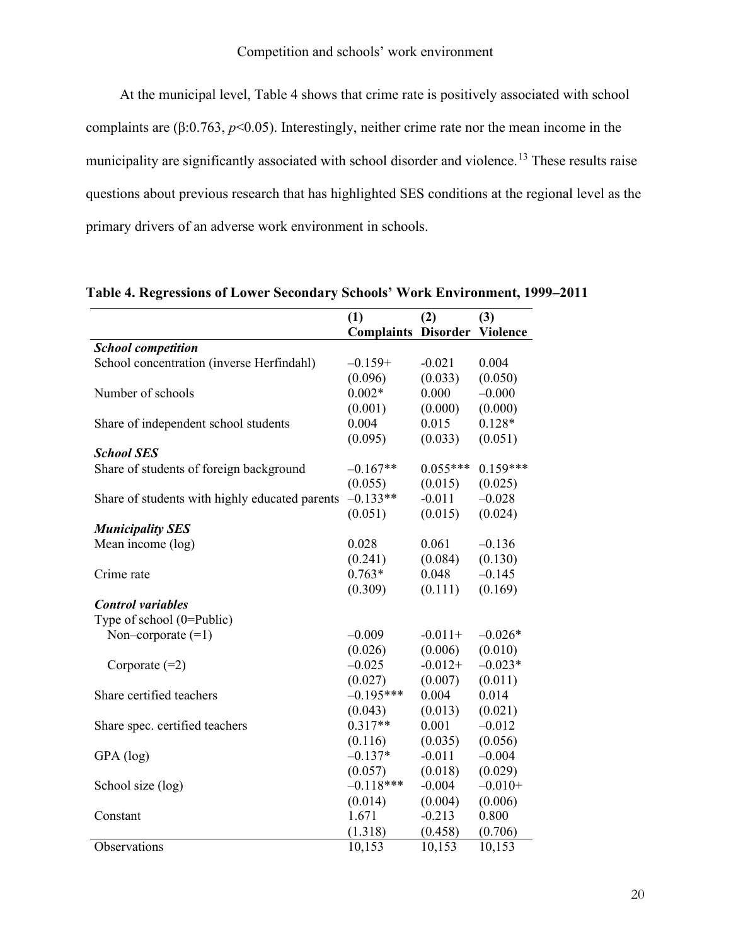At the municipal level, Table 4 shows that crime rate is positively associated with school complaints are  $(\beta: 0.763, p<0.05)$ . Interestingly, neither crime rate nor the mean income in the municipality are significantly associated with school disorder and violence.<sup>[13](#page-39-12)</sup> These results raise questions about previous research that has highlighted SES conditions at the regional level as the primary drivers of an adverse work environment in schools.

|                                                | (1)                        | (2)        | (3)             |
|------------------------------------------------|----------------------------|------------|-----------------|
|                                                | <b>Complaints Disorder</b> |            | <b>Violence</b> |
| <b>School competition</b>                      |                            |            |                 |
| School concentration (inverse Herfindahl)      | $-0.159+$                  | $-0.021$   | 0.004           |
|                                                | (0.096)                    | (0.033)    | (0.050)         |
| Number of schools                              | $0.002*$                   | 0.000      | $-0.000$        |
|                                                | (0.001)                    | (0.000)    | (0.000)         |
| Share of independent school students           | 0.004                      | 0.015      | $0.128*$        |
|                                                | (0.095)                    | (0.033)    | (0.051)         |
| <b>School SES</b>                              |                            |            |                 |
| Share of students of foreign background        | $-0.167**$                 | $0.055***$ | $0.159***$      |
|                                                | (0.055)                    | (0.015)    | (0.025)         |
| Share of students with highly educated parents | $-0.133**$                 | $-0.011$   | $-0.028$        |
|                                                | (0.051)                    | (0.015)    | (0.024)         |
| <b>Municipality SES</b>                        |                            |            |                 |
| Mean income (log)                              | 0.028                      | 0.061      | $-0.136$        |
|                                                | (0.241)                    | (0.084)    | (0.130)         |
| Crime rate                                     | $0.763*$                   | 0.048      | $-0.145$        |
|                                                | (0.309)                    | (0.111)    | (0.169)         |
| <b>Control variables</b>                       |                            |            |                 |
| Type of school $(0=Public)$                    |                            |            |                 |
| Non-corporate $(=1)$                           | $-0.009$                   | $-0.011+$  | $-0.026*$       |
|                                                | (0.026)                    | (0.006)    | (0.010)         |
| Corporate $(=2)$                               | $-0.025$                   | $-0.012+$  | $-0.023*$       |
|                                                | (0.027)                    | (0.007)    | (0.011)         |
| Share certified teachers                       | $-0.195***$                | 0.004      | 0.014           |
|                                                | (0.043)                    | (0.013)    | (0.021)         |
| Share spec. certified teachers                 | $0.317**$                  | 0.001      | $-0.012$        |
|                                                | (0.116)                    | (0.035)    | (0.056)         |
| GPA (log)                                      | $-0.137*$                  | $-0.011$   | $-0.004$        |
|                                                | (0.057)                    | (0.018)    | (0.029)         |
| School size (log)                              | $-0.118***$                | $-0.004$   | $-0.010+$       |
|                                                | (0.014)                    | (0.004)    | (0.006)         |
| Constant                                       | 1.671                      | $-0.213$   | 0.800           |
|                                                | (1.318)                    | (0.458)    | (0.706)         |
| Observations                                   | 10,153                     | 10,153     | 10,153          |

**Table 4. Regressions of Lower Secondary Schools' Work Environment, 1999–2011**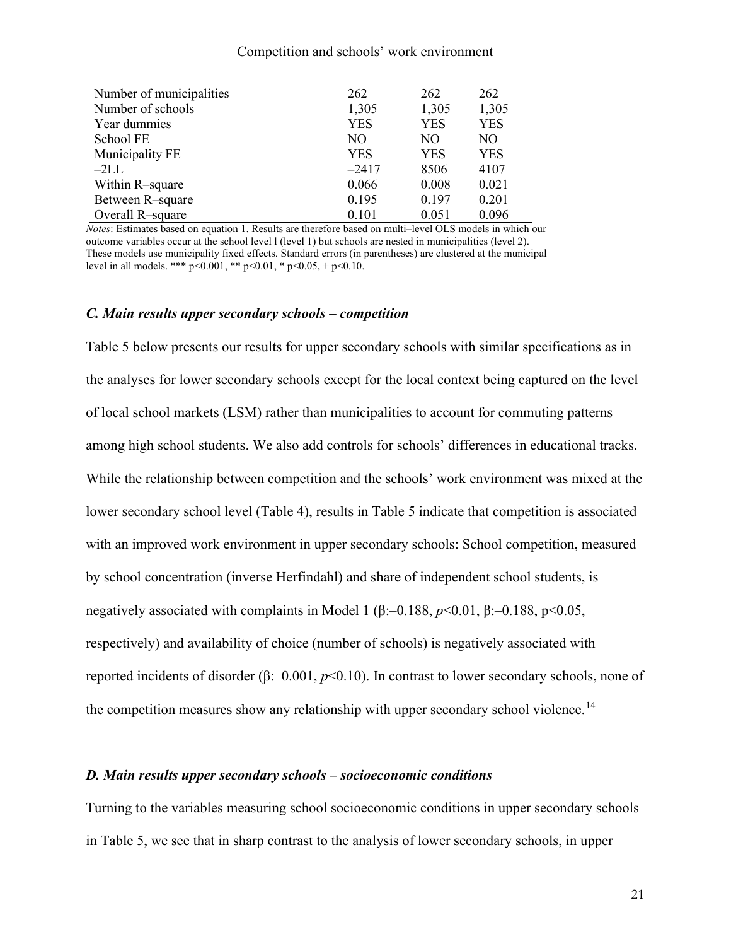| Number of municipalities | 262        | 262        | 262        |
|--------------------------|------------|------------|------------|
| Number of schools        | 1,305      | 1,305      | 1,305      |
| Year dummies             | <b>YES</b> | <b>YES</b> | <b>YES</b> |
| School FE                | NO.        | NO.        | NO.        |
| Municipality FE          | <b>YES</b> | <b>YES</b> | <b>YES</b> |
| $-2LL$                   | $-2417$    | 8506       | 4107       |
| Within R-square          | 0.066      | 0.008      | 0.021      |
| Between R-square         | 0.195      | 0.197      | 0.201      |
| Overall R-square         | 0.101      | 0.051      | 0.096      |

*Notes*: Estimates based on equation 1. Results are therefore based on multi–level OLS models in which our outcome variables occur at the school level l (level 1) but schools are nested in municipalities (level 2). These models use municipality fixed effects. Standard errors (in parentheses) are clustered at the municipal level in all models. \*\*\*  $p \le 0.001$ , \*\*  $p \le 0.01$ , \*  $p \le 0.05$ , +  $p \le 0.10$ .

#### *C. Main results upper secondary schools – competition*

Table 5 below presents our results for upper secondary schools with similar specifications as in the analyses for lower secondary schools except for the local context being captured on the level of local school markets (LSM) rather than municipalities to account for commuting patterns among high school students. We also add controls for schools' differences in educational tracks. While the relationship between competition and the schools' work environment was mixed at the lower secondary school level (Table 4), results in Table 5 indicate that competition is associated with an improved work environment in upper secondary schools: School competition, measured by school concentration (inverse Herfindahl) and share of independent school students, is negatively associated with complaints in Model 1 (β:–0.188, *p*<0.01, β:–0.188, p<0.05, respectively) and availability of choice (number of schools) is negatively associated with reported incidents of disorder (β:–0.001, *p*<0.10). In contrast to lower secondary schools, none of the competition measures show any relationship with upper secondary school violence.<sup>[14](#page-39-13)</sup>

## *D. Main results upper secondary schools – socioeconomic conditions*

Turning to the variables measuring school socioeconomic conditions in upper secondary schools in Table 5, we see that in sharp contrast to the analysis of lower secondary schools, in upper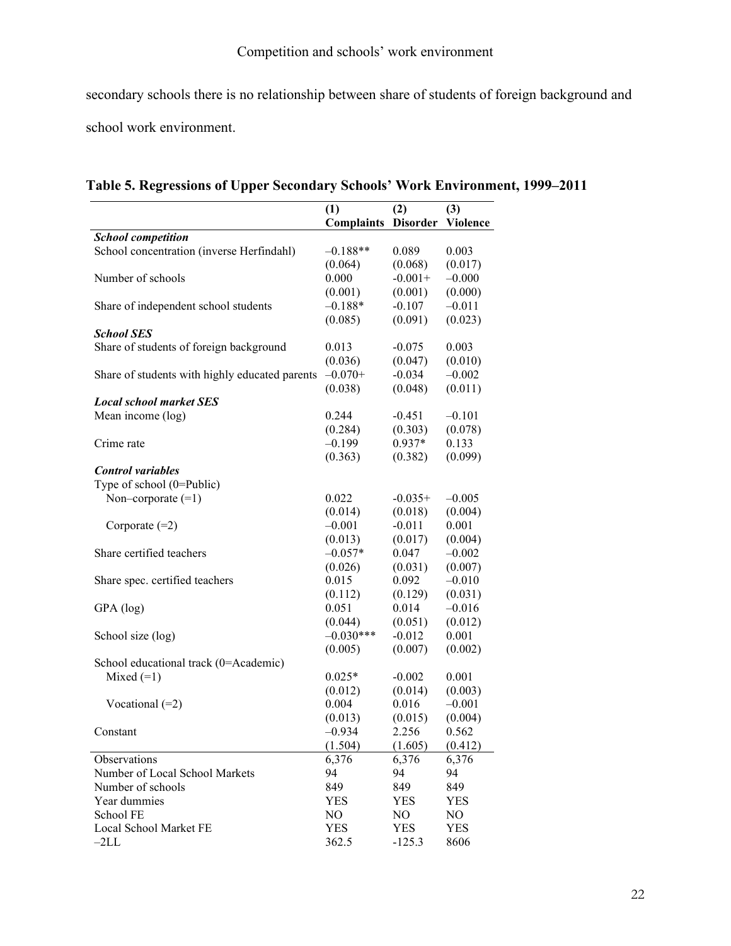secondary schools there is no relationship between share of students of foreign background and school work environment.

|                                                | (1)<br>Complaints | (2)        | (3)<br>Disorder Violence |
|------------------------------------------------|-------------------|------------|--------------------------|
| <b>School competition</b>                      |                   |            |                          |
| School concentration (inverse Herfindahl)      | $-0.188**$        | 0.089      | 0.003                    |
|                                                | (0.064)           | (0.068)    | (0.017)                  |
| Number of schools                              | 0.000             | $-0.001+$  | $-0.000$                 |
|                                                | (0.001)           | (0.001)    | (0.000)                  |
| Share of independent school students           | $-0.188*$         | $-0.107$   | $-0.011$                 |
|                                                | (0.085)           | (0.091)    | (0.023)                  |
| <b>School SES</b>                              |                   |            |                          |
| Share of students of foreign background        | 0.013             | $-0.075$   | 0.003                    |
|                                                | (0.036)           | (0.047)    | (0.010)                  |
| Share of students with highly educated parents | $-0.070+$         | $-0.034$   | $-0.002$                 |
|                                                | (0.038)           | (0.048)    | (0.011)                  |
| <b>Local school market SES</b>                 |                   |            |                          |
| Mean income (log)                              | 0.244             | $-0.451$   | $-0.101$                 |
|                                                | (0.284)           | (0.303)    | (0.078)                  |
| Crime rate                                     | $-0.199$          | $0.937*$   | 0.133                    |
|                                                | (0.363)           | (0.382)    | (0.099)                  |
| <b>Control</b> variables                       |                   |            |                          |
| Type of school (0=Public)                      |                   |            |                          |
| Non-corporate $(=1)$                           | 0.022             | $-0.035+$  | $-0.005$                 |
|                                                | (0.014)           | (0.018)    | (0.004)                  |
| Corporate $(=2)$                               | $-0.001$          | $-0.011$   | 0.001                    |
|                                                | (0.013)           | (0.017)    | (0.004)                  |
| Share certified teachers                       | $-0.057*$         | 0.047      | $-0.002$                 |
|                                                | (0.026)           | (0.031)    | (0.007)                  |
| Share spec. certified teachers                 | 0.015             | 0.092      | $-0.010$                 |
|                                                | (0.112)           | (0.129)    | (0.031)                  |
| GPA (log)                                      | 0.051             | 0.014      | $-0.016$                 |
|                                                | (0.044)           | (0.051)    | (0.012)                  |
| School size (log)                              | $-0.030***$       | $-0.012$   | 0.001                    |
|                                                | (0.005)           | (0.007)    | (0.002)                  |
| School educational track (0=Academic)          |                   |            |                          |
| Mixed $(=1)$                                   | $0.025*$          | $-0.002$   | 0.001                    |
|                                                | (0.012)           | (0.014)    | (0.003)                  |
| Vocational $(=2)$                              | 0.004             | 0.016      | $-0.001$                 |
|                                                | (0.013)           | (0.015)    | (0.004)                  |
| Constant                                       | $-0.934$          | 2.256      | 0.562                    |
|                                                | (1.504)           | (1.605)    | (0.412)                  |
| Observations                                   | 6,376             | 6,376      | 6,376                    |
| Number of Local School Markets                 | 94                | 94         | 94                       |
| Number of schools                              | 849               | 849        | 849                      |
| Year dummies                                   | <b>YES</b>        | <b>YES</b> | <b>YES</b>               |
| School FE                                      | NO                | NO.        | NO                       |
| Local School Market FE                         | <b>YES</b>        | <b>YES</b> | <b>YES</b>               |
| $-2LL$                                         | 362.5             | $-125.3$   | 8606                     |

**Table 5. Regressions of Upper Secondary Schools' Work Environment, 1999–2011**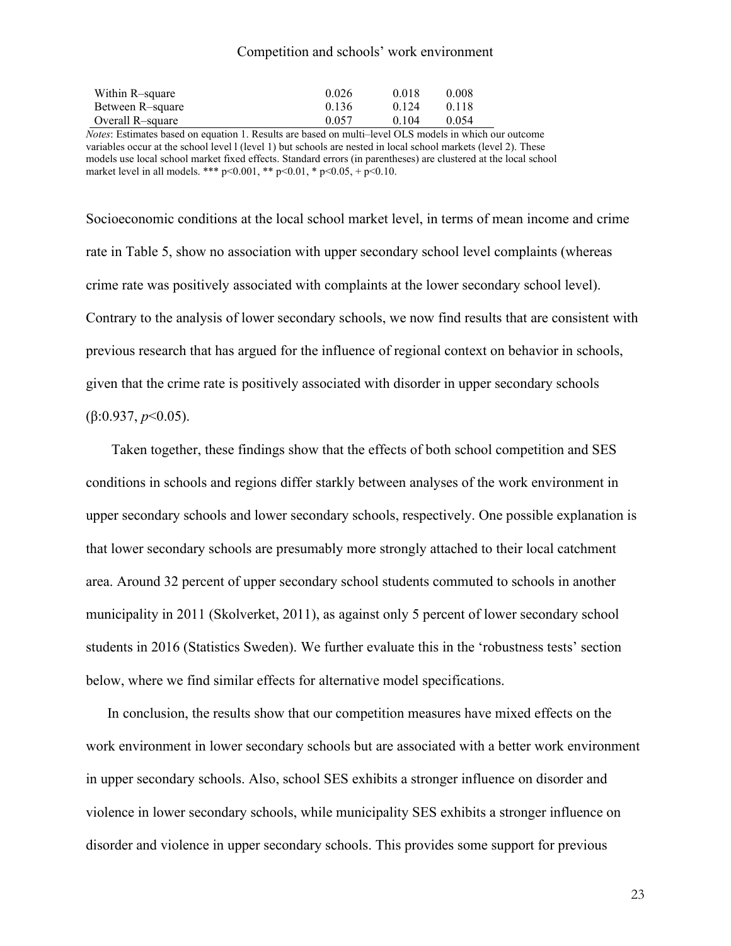| Within R-square  | 0.026 | 0.018 | 0.008 |
|------------------|-------|-------|-------|
| Between R-square | 0.136 | 0.124 | 0.118 |
| Overall R-square | 0.057 | 0.104 | 0.054 |

*Notes*: Estimates based on equation 1. Results are based on multi–level OLS models in which our outcome variables occur at the school level l (level 1) but schools are nested in local school markets (level 2). These models use local school market fixed effects. Standard errors (in parentheses) are clustered at the local school market level in all models. \*\*\*  $p<0.001$ , \*\*  $p<0.01$ , \*  $p<0.05$ , +  $p<0.10$ .

Socioeconomic conditions at the local school market level, in terms of mean income and crime rate in Table 5, show no association with upper secondary school level complaints (whereas crime rate was positively associated with complaints at the lower secondary school level). Contrary to the analysis of lower secondary schools, we now find results that are consistent with previous research that has argued for the influence of regional context on behavior in schools, given that the crime rate is positively associated with disorder in upper secondary schools (β:0.937, *p*<0.05).

Taken together, these findings show that the effects of both school competition and SES conditions in schools and regions differ starkly between analyses of the work environment in upper secondary schools and lower secondary schools, respectively. One possible explanation is that lower secondary schools are presumably more strongly attached to their local catchment area. Around 32 percent of upper secondary school students commuted to schools in another municipality in 2011 [\(Skolverket, 2011\)](#page-36-15), as against only 5 percent of lower secondary school students in 2016 (Statistics Sweden). We further evaluate this in the 'robustness tests' section below, where we find similar effects for alternative model specifications.

In conclusion, the results show that our competition measures have mixed effects on the work environment in lower secondary schools but are associated with a better work environment in upper secondary schools. Also, school SES exhibits a stronger influence on disorder and violence in lower secondary schools, while municipality SES exhibits a stronger influence on disorder and violence in upper secondary schools. This provides some support for previous

23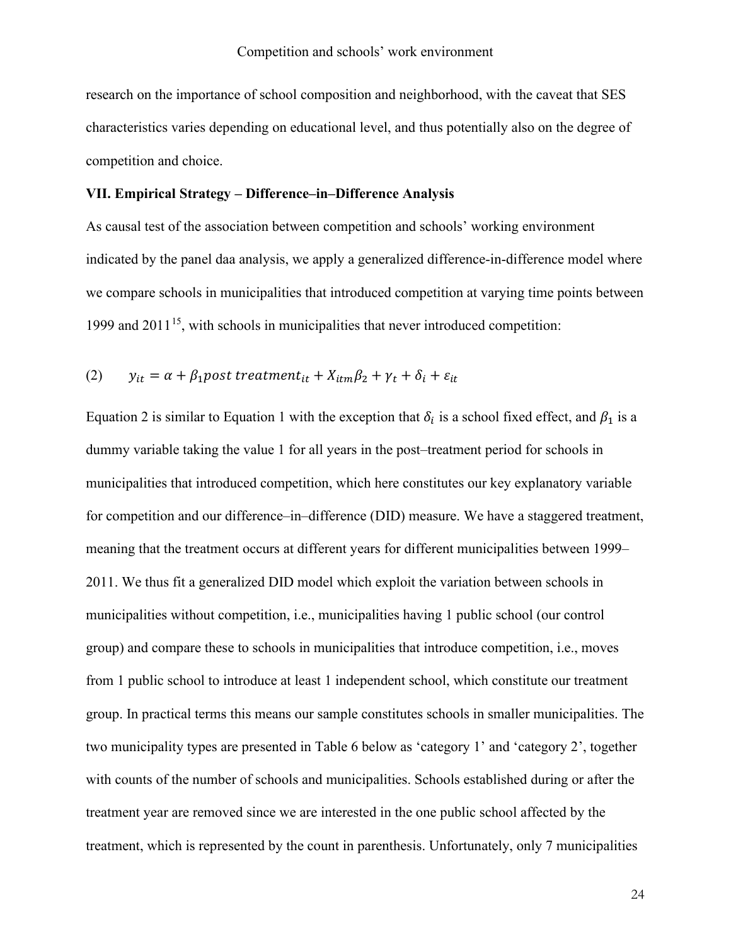research on the importance of school composition and neighborhood, with the caveat that SES characteristics varies depending on educational level, and thus potentially also on the degree of competition and choice.

#### **VII. Empirical Strategy – Difference–in–Difference Analysis**

As causal test of the association between competition and schools' working environment indicated by the panel daa analysis, we apply a generalized difference-in-difference model where we compare schools in municipalities that introduced competition at varying time points between 1999 and  $2011^{15}$  $2011^{15}$  $2011^{15}$ , with schools in municipalities that never introduced competition:

(2) 
$$
y_{it} = \alpha + \beta_1
$$
post treatment<sub>it</sub> +  $X_{itm}\beta_2 + \gamma_t + \delta_i + \varepsilon_{it}$ 

Equation 2 is similar to Equation 1 with the exception that  $\delta_i$  is a school fixed effect, and  $\beta_1$  is a dummy variable taking the value 1 for all years in the post–treatment period for schools in municipalities that introduced competition, which here constitutes our key explanatory variable for competition and our difference–in–difference (DID) measure. We have a staggered treatment, meaning that the treatment occurs at different years for different municipalities between 1999– 2011. We thus fit a generalized DID model which exploit the variation between schools in municipalities without competition, i.e., municipalities having 1 public school (our control group) and compare these to schools in municipalities that introduce competition, i.e., moves from 1 public school to introduce at least 1 independent school, which constitute our treatment group. In practical terms this means our sample constitutes schools in smaller municipalities. The two municipality types are presented in Table 6 below as 'category 1' and 'category 2', together with counts of the number of schools and municipalities. Schools established during or after the treatment year are removed since we are interested in the one public school affected by the treatment, which is represented by the count in parenthesis. Unfortunately, only 7 municipalities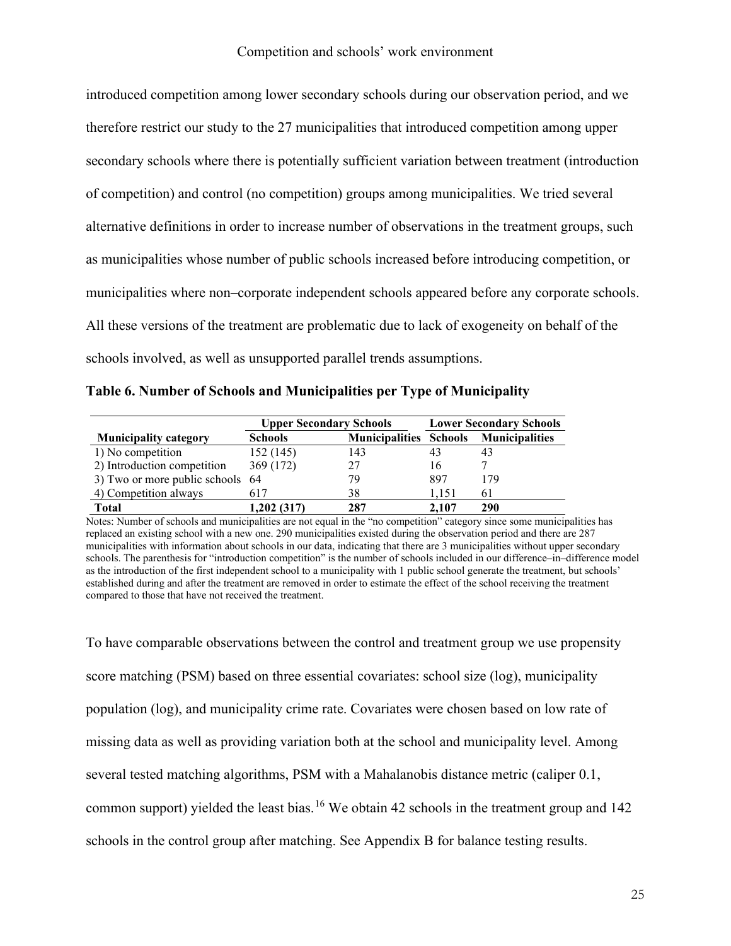introduced competition among lower secondary schools during our observation period, and we therefore restrict our study to the 27 municipalities that introduced competition among upper secondary schools where there is potentially sufficient variation between treatment (introduction of competition) and control (no competition) groups among municipalities. We tried several alternative definitions in order to increase number of observations in the treatment groups, such as municipalities whose number of public schools increased before introducing competition, or municipalities where non–corporate independent schools appeared before any corporate schools. All these versions of the treatment are problematic due to lack of exogeneity on behalf of the schools involved, as well as unsupported parallel trends assumptions.

**Table 6. Number of Schools and Municipalities per Type of Municipality**

|                                  | <b>Upper Secondary Schools</b> |                               | <b>Lower Secondary Schools</b> |                       |  |
|----------------------------------|--------------------------------|-------------------------------|--------------------------------|-----------------------|--|
| <b>Municipality category</b>     | <b>Schools</b>                 | <b>Municipalities Schools</b> |                                | <b>Municipalities</b> |  |
| 1) No competition                | 152 (145)                      | 143                           | 43                             | 43                    |  |
| 2) Introduction competition      | 369 (172)                      | 27                            | 16                             |                       |  |
| 3) Two or more public schools 64 |                                | 79                            | 897                            | 179                   |  |
| 4) Competition always            | 617                            | 38                            | 1.151                          | 61                    |  |
| <b>Total</b>                     | 1,202 (317)                    | 287                           | 2.107                          | 290                   |  |

Notes: Number of schools and municipalities are not equal in the "no competition" category since some municipalities has replaced an existing school with a new one. 290 municipalities existed during the observation period and there are 287 municipalities with information about schools in our data, indicating that there are 3 municipalities without upper secondary schools. The parenthesis for "introduction competition" is the number of schools included in our difference–in–difference model as the introduction of the first independent school to a municipality with 1 public school generate the treatment, but schools' established during and after the treatment are removed in order to estimate the effect of the school receiving the treatment compared to those that have not received the treatment.

To have comparable observations between the control and treatment group we use propensity score matching (PSM) based on three essential covariates: school size (log), municipality population (log), and municipality crime rate. Covariates were chosen based on low rate of missing data as well as providing variation both at the school and municipality level. Among several tested matching algorithms, PSM with a Mahalanobis distance metric (caliper 0.1, common support) yielded the least bias.<sup>[16](#page-39-15)</sup> We obtain 42 schools in the treatment group and 142 schools in the control group after matching. See Appendix B for balance testing results.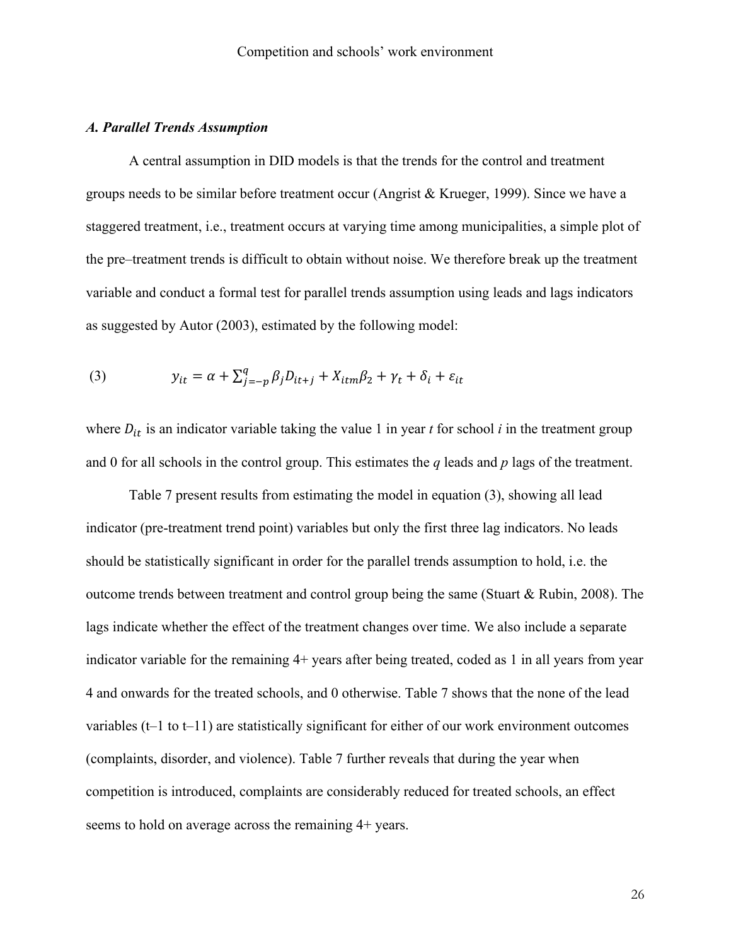## *A. Parallel Trends Assumption*

A central assumption in DID models is that the trends for the control and treatment groups needs to be similar before treatment occur [\(Angrist & Krueger, 1999\)](#page-34-14). Since we have a staggered treatment, i.e., treatment occurs at varying time among municipalities, a simple plot of the pre–treatment trends is difficult to obtain without noise. We therefore break up the treatment variable and conduct a formal test for parallel trends assumption using leads and lags indicators as suggested by [Autor \(2003\),](#page-34-15) estimated by the following model:

(3) 
$$
y_{it} = \alpha + \sum_{j=-p}^{q} \beta_j D_{it+j} + X_{itm}\beta_2 + \gamma_t + \delta_i + \varepsilon_{it}
$$

where  $D_{it}$  is an indicator variable taking the value 1 in year *t* for school *i* in the treatment group and 0 for all schools in the control group. This estimates the *q* leads and *p* lags of the treatment.

Table 7 present results from estimating the model in equation (3), showing all lead indicator (pre-treatment trend point) variables but only the first three lag indicators. No leads should be statistically significant in order for the parallel trends assumption to hold, i.e. the outcome trends between treatment and control group being the same [\(Stuart & Rubin, 2008\)](#page-36-17). The lags indicate whether the effect of the treatment changes over time. We also include a separate indicator variable for the remaining 4+ years after being treated, coded as 1 in all years from year 4 and onwards for the treated schools, and 0 otherwise. Table 7 shows that the none of the lead variables (t–1 to t–11) are statistically significant for either of our work environment outcomes (complaints, disorder, and violence). Table 7 further reveals that during the year when competition is introduced, complaints are considerably reduced for treated schools, an effect seems to hold on average across the remaining 4+ years.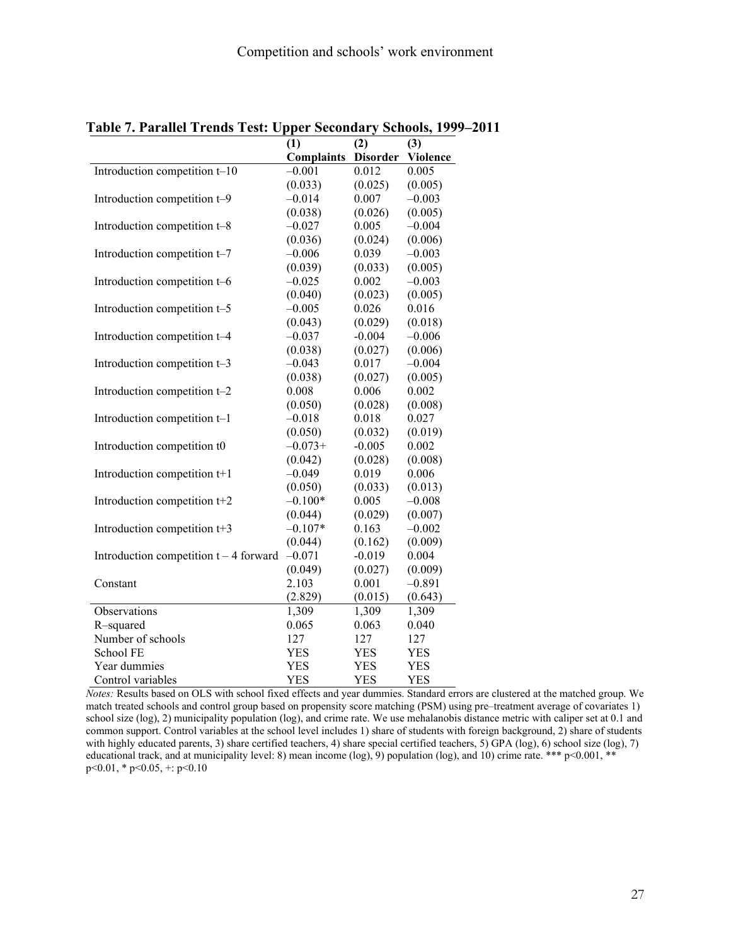|                                          | (1)               | (2)             | (3)             |
|------------------------------------------|-------------------|-----------------|-----------------|
|                                          | <b>Complaints</b> | <b>Disorder</b> | <b>Violence</b> |
| Introduction competition $t-10$          | $-0.001$          | 0.012           | 0.005           |
|                                          | (0.033)           | (0.025)         | (0.005)         |
| Introduction competition t-9             | $-0.014$          | 0.007           | $-0.003$        |
|                                          | (0.038)           | (0.026)         | (0.005)         |
| Introduction competition t-8             | $-0.027$          | 0.005           | $-0.004$        |
|                                          | (0.036)           | (0.024)         | (0.006)         |
| Introduction competition t-7             | $-0.006$          | 0.039           | $-0.003$        |
|                                          | (0.039)           | (0.033)         | (0.005)         |
| Introduction competition t-6             | $-0.025$          | 0.002           | $-0.003$        |
|                                          | (0.040)           | (0.023)         | (0.005)         |
| Introduction competition t-5             | $-0.005$          | 0.026           | 0.016           |
|                                          | (0.043)           | (0.029)         | (0.018)         |
| Introduction competition t-4             | $-0.037$          | $-0.004$        | $-0.006$        |
|                                          | (0.038)           | (0.027)         | (0.006)         |
| Introduction competition t-3             | $-0.043$          | 0.017           | $-0.004$        |
|                                          | (0.038)           | (0.027)         | (0.005)         |
| Introduction competition t-2             | 0.008             | 0.006           | 0.002           |
|                                          | (0.050)           | (0.028)         | (0.008)         |
| Introduction competition t-1             | $-0.018$          | 0.018           | 0.027           |
|                                          | (0.050)           | (0.032)         | (0.019)         |
| Introduction competition t0              | $-0.073+$         | $-0.005$        | 0.002           |
|                                          | (0.042)           | (0.028)         | (0.008)         |
| Introduction competition t+1             | $-0.049$          | 0.019           | 0.006           |
|                                          | (0.050)           | (0.033)         | (0.013)         |
| Introduction competition t+2             | $-0.100*$         | 0.005           | $-0.008$        |
|                                          | (0.044)           | (0.029)         | (0.007)         |
| Introduction competition t+3             | $-0.107*$         | 0.163           | $-0.002$        |
|                                          | (0.044)           | (0.162)         | (0.009)         |
| Introduction competition $t - 4$ forward | $-0.071$          | $-0.019$        | 0.004           |
|                                          | (0.049)           | (0.027)         | (0.009)         |
| Constant                                 | 2.103             | 0.001           | $-0.891$        |
|                                          | (2.829)           | (0.015)         | (0.643)         |
| Observations                             | 1,309             | 1,309           | 1,309           |
| R-squared                                | 0.065             | 0.063           | 0.040           |
| Number of schools                        | 127               | 127             | 127             |
| School FE                                | <b>YES</b>        | YES             | YES             |
| Year dummies                             | <b>YES</b>        | <b>YES</b>      | <b>YES</b>      |
| Control variables                        | <b>YES</b>        | <b>YES</b>      | <b>YES</b>      |

**Table 7. Parallel Trends Test: Upper Secondary Schools, 1999–2011**

*Notes:* Results based on OLS with school fixed effects and year dummies. Standard errors are clustered at the matched group. We match treated schools and control group based on propensity score matching (PSM) using pre–treatment average of covariates 1) school size (log), 2) municipality population (log), and crime rate. We use mehalanobis distance metric with caliper set at 0.1 and common support. Control variables at the school level includes 1) share of students with foreign background, 2) share of students with highly educated parents, 3) share certified teachers, 4) share special certified teachers, 5) GPA (log), 6) school size (log), 7) educational track, and at municipality level: 8) mean income (log), 9) population (log), and 10) crime rate. \*\*\* p<0.001, \*\* p<0.01, \* p<0.05, +: p<0.10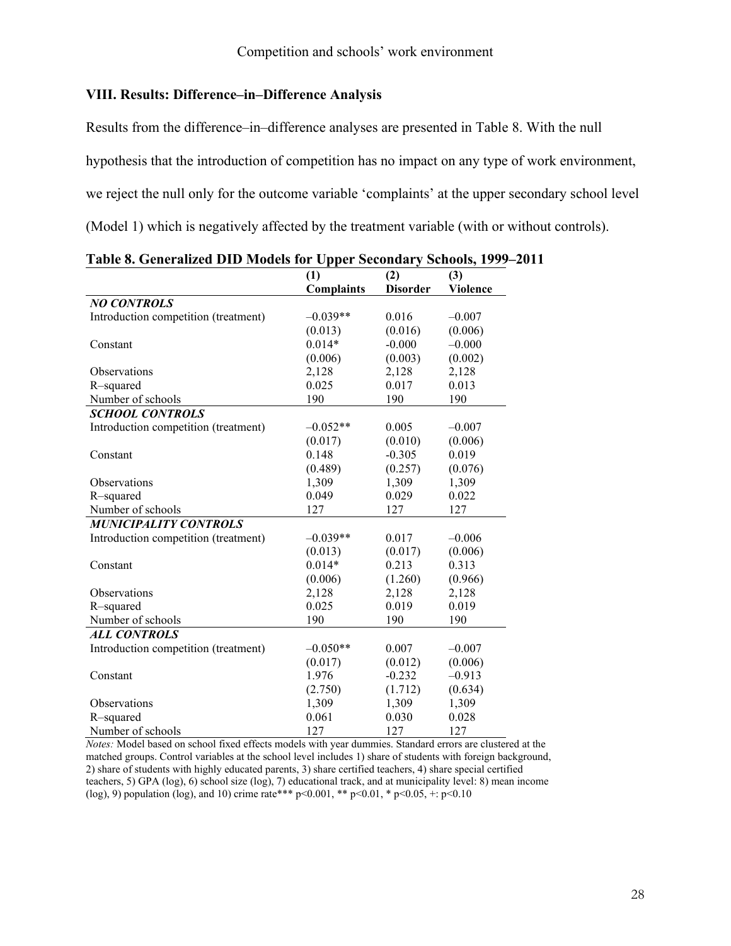## **VIII. Results: Difference–in–Difference Analysis**

Results from the difference–in–difference analyses are presented in Table 8. With the null hypothesis that the introduction of competition has no impact on any type of work environment, we reject the null only for the outcome variable 'complaints' at the upper secondary school level (Model 1) which is negatively affected by the treatment variable (with or without controls).

|                                      | (1)               | (2)             | (3)             |
|--------------------------------------|-------------------|-----------------|-----------------|
|                                      | <b>Complaints</b> | <b>Disorder</b> | <b>Violence</b> |
| <b>NO CONTROLS</b>                   |                   |                 |                 |
| Introduction competition (treatment) | $-0.039**$        | 0.016           | $-0.007$        |
|                                      | (0.013)           | (0.016)         | (0.006)         |
| Constant                             | $0.014*$          | $-0.000$        | $-0.000$        |
|                                      | (0.006)           | (0.003)         | (0.002)         |
| Observations                         | 2,128             | 2,128           | 2,128           |
| R-squared                            | 0.025             | 0.017           | 0.013           |
| Number of schools                    | 190               | 190             | 190             |
| <b>SCHOOL CONTROLS</b>               |                   |                 |                 |
| Introduction competition (treatment) | $-0.052**$        | 0.005           | $-0.007$        |
|                                      | (0.017)           | (0.010)         | (0.006)         |
| Constant                             | 0.148             | $-0.305$        | 0.019           |
|                                      | (0.489)           | (0.257)         | (0.076)         |
| <b>Observations</b>                  | 1,309             | 1,309           | 1,309           |
| R-squared                            | 0.049             | 0.029           | 0.022           |
| Number of schools                    | 127               | 127             | 127             |
| <b>MUNICIPALITY CONTROLS</b>         |                   |                 |                 |
| Introduction competition (treatment) | $-0.039**$        | 0.017           | $-0.006$        |
|                                      | (0.013)           | (0.017)         | (0.006)         |
| Constant                             | $0.014*$          | 0.213           | 0.313           |
|                                      | (0.006)           | (1.260)         | (0.966)         |
| Observations                         | 2,128             | 2,128           | 2,128           |
| R-squared                            | 0.025             | 0.019           | 0.019           |
| Number of schools                    | 190               | 190             | 190             |
| <b>ALL CONTROLS</b>                  |                   |                 |                 |
| Introduction competition (treatment) | $-0.050**$        | 0.007           | $-0.007$        |
|                                      | (0.017)           | (0.012)         | (0.006)         |
| Constant                             | 1.976             | $-0.232$        | $-0.913$        |
|                                      | (2.750)           | (1.712)         | (0.634)         |
| Observations                         | 1,309             | 1,309           | 1,309           |
| R-squared                            | 0.061             | 0.030           | 0.028           |
| Number of schools                    | 127               | 127             | 127             |

**Table 8. Generalized DID Models for Upper Secondary Schools, 1999–2011**

*Notes:* Model based on school fixed effects models with year dummies. Standard errors are clustered at the matched groups. Control variables at the school level includes 1) share of students with foreign background, 2) share of students with highly educated parents, 3) share certified teachers, 4) share special certified teachers, 5) GPA (log), 6) school size (log), 7) educational track, and at municipality level: 8) mean income (log), 9) population (log), and 10) crime rate\*\*\* p<0.001, \*\* p<0.01, \* p<0.05, +: p<0.10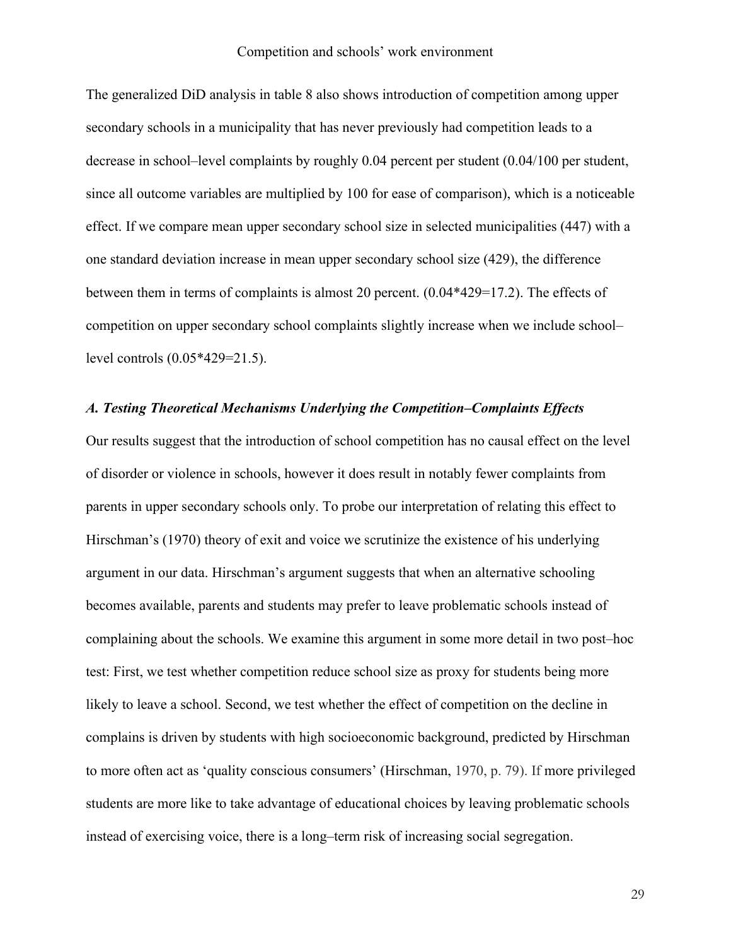The generalized DiD analysis in table 8 also shows introduction of competition among upper secondary schools in a municipality that has never previously had competition leads to a decrease in school–level complaints by roughly 0.04 percent per student (0.04/100 per student, since all outcome variables are multiplied by 100 for ease of comparison), which is a noticeable effect. If we compare mean upper secondary school size in selected municipalities (447) with a one standard deviation increase in mean upper secondary school size (429), the difference between them in terms of complaints is almost 20 percent. (0.04\*429=17.2). The effects of competition on upper secondary school complaints slightly increase when we include school– level controls (0.05\*429=21.5).

## *A. Testing Theoretical Mechanisms Underlying the Competition–Complaints Effects*

Our results suggest that the introduction of school competition has no causal effect on the level of disorder or violence in schools, however it does result in notably fewer complaints from parents in upper secondary schools only. To probe our interpretation of relating this effect to Hirschman's (1970) theory of exit and voice we scrutinize the existence of his underlying argument in our data. Hirschman's argument suggests that when an alternative schooling becomes available, parents and students may prefer to leave problematic schools instead of complaining about the schools. We examine this argument in some more detail in two post–hoc test: First, we test whether competition reduce school size as proxy for students being more likely to leave a school. Second, we test whether the effect of competition on the decline in complains is driven by students with high socioeconomic background, predicted by Hirschman to more often act as 'quality conscious consumers' (Hirschman, 1970, p. 79). If more privileged students are more like to take advantage of educational choices by leaving problematic schools instead of exercising voice, there is a long–term risk of increasing social segregation.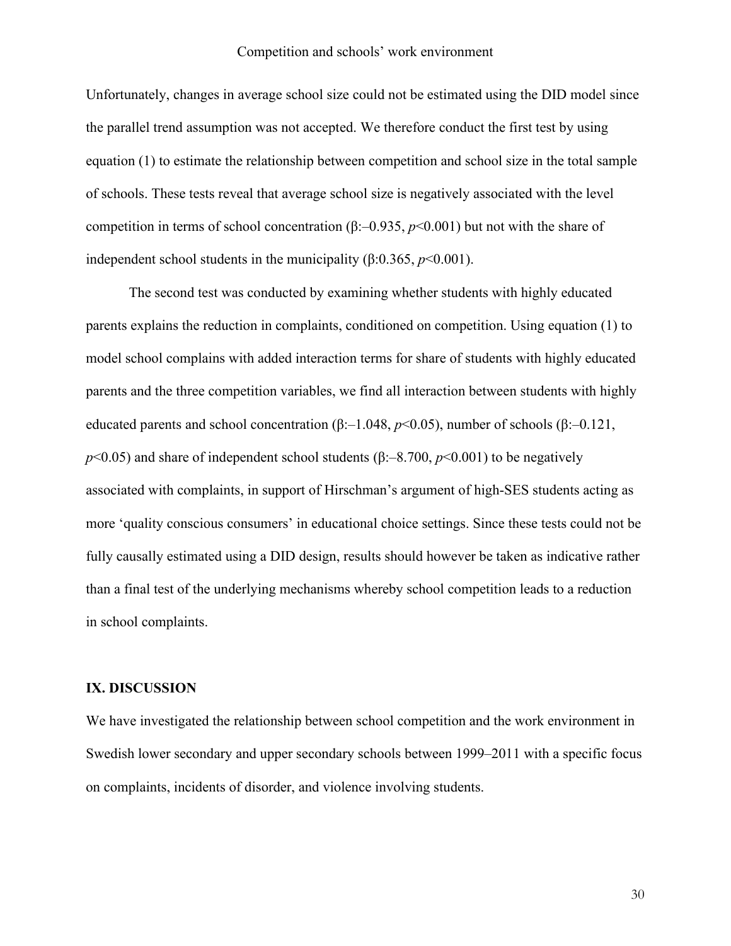Unfortunately, changes in average school size could not be estimated using the DID model since the parallel trend assumption was not accepted. We therefore conduct the first test by using equation (1) to estimate the relationship between competition and school size in the total sample of schools. These tests reveal that average school size is negatively associated with the level competition in terms of school concentration  $(\beta$ :–0.935, *p*<0.001) but not with the share of independent school students in the municipality  $(\beta: 0.365, p<0.001)$ .

The second test was conducted by examining whether students with highly educated parents explains the reduction in complaints, conditioned on competition. Using equation (1) to model school complains with added interaction terms for share of students with highly educated parents and the three competition variables, we find all interaction between students with highly educated parents and school concentration (β:–1.048, *p*<0.05), number of schools (β:–0.121, *p*<0.05) and share of independent school students (β:–8.700, *p*<0.001) to be negatively associated with complaints, in support of Hirschman's argument of high-SES students acting as more 'quality conscious consumers' in educational choice settings. Since these tests could not be fully causally estimated using a DID design, results should however be taken as indicative rather than a final test of the underlying mechanisms whereby school competition leads to a reduction in school complaints.

#### **IX. DISCUSSION**

We have investigated the relationship between school competition and the work environment in Swedish lower secondary and upper secondary schools between 1999–2011 with a specific focus on complaints, incidents of disorder, and violence involving students.

30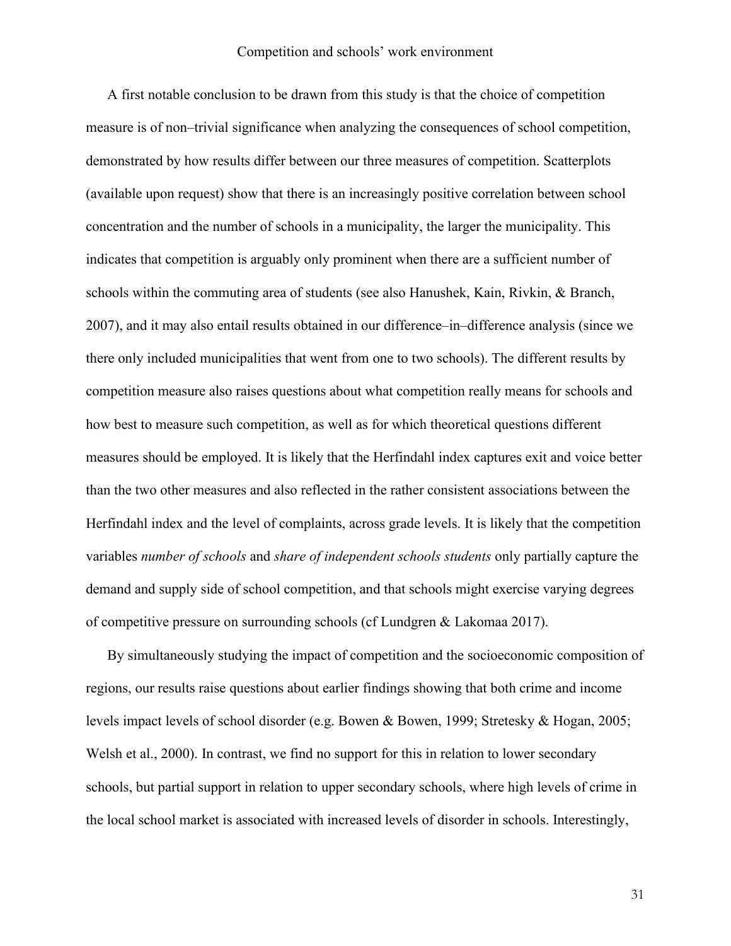A first notable conclusion to be drawn from this study is that the choice of competition measure is of non–trivial significance when analyzing the consequences of school competition, demonstrated by how results differ between our three measures of competition. Scatterplots (available upon request) show that there is an increasingly positive correlation between school concentration and the number of schools in a municipality, the larger the municipality. This indicates that competition is arguably only prominent when there are a sufficient number of schools within the commuting area of students [\(see also Hanushek, Kain, Rivkin, & Branch,](#page-35-18)  [2007\)](#page-35-18), and it may also entail results obtained in our difference–in–difference analysis (since we there only included municipalities that went from one to two schools). The different results by competition measure also raises questions about what competition really means for schools and how best to measure such competition, as well as for which theoretical questions different measures should be employed. It is likely that the Herfindahl index captures exit and voice better than the two other measures and also reflected in the rather consistent associations between the Herfindahl index and the level of complaints, across grade levels. It is likely that the competition variables *number of schools* and *share of independent schools students* only partially capture the demand and supply side of school competition, and that schools might exercise varying degrees of competitive pressure on surrounding schools (cf Lundgren & Lakomaa 2017).

By simultaneously studying the impact of competition and the socioeconomic composition of regions, our results raise questions about earlier findings showing that both crime and income levels impact levels of school disorder (e.g. [Bowen & Bowen, 1999;](#page-34-1) [Stretesky & Hogan, 2005;](#page-36-4) [Welsh et al., 2000\)](#page-36-5). In contrast, we find no support for this in relation to lower secondary schools, but partial support in relation to upper secondary schools, where high levels of crime in the local school market is associated with increased levels of disorder in schools. Interestingly,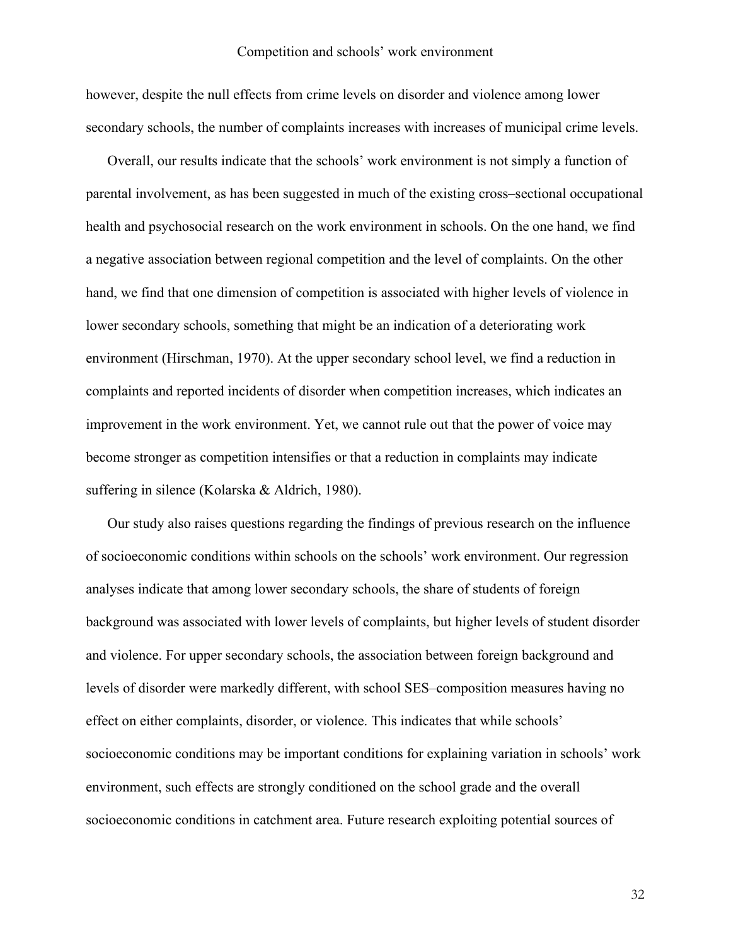however, despite the null effects from crime levels on disorder and violence among lower secondary schools, the number of complaints increases with increases of municipal crime levels.

Overall, our results indicate that the schools' work environment is not simply a function of parental involvement, as has been suggested in much of the existing cross–sectional occupational health and psychosocial research on the work environment in schools. On the one hand, we find a negative association between regional competition and the level of complaints. On the other hand, we find that one dimension of competition is associated with higher levels of violence in lower secondary schools, something that might be an indication of a deteriorating work environment [\(Hirschman, 1970\)](#page-35-5). At the upper secondary school level, we find a reduction in complaints and reported incidents of disorder when competition increases, which indicates an improvement in the work environment. Yet, we cannot rule out that the power of voice may become stronger as competition intensifies or that a reduction in complaints may indicate suffering in silence [\(Kolarska & Aldrich, 1980\)](#page-35-19).

Our study also raises questions regarding the findings of previous research on the influence of socioeconomic conditions within schools on the schools' work environment. Our regression analyses indicate that among lower secondary schools, the share of students of foreign background was associated with lower levels of complaints, but higher levels of student disorder and violence. For upper secondary schools, the association between foreign background and levels of disorder were markedly different, with school SES–composition measures having no effect on either complaints, disorder, or violence. This indicates that while schools' socioeconomic conditions may be important conditions for explaining variation in schools' work environment, such effects are strongly conditioned on the school grade and the overall socioeconomic conditions in catchment area. Future research exploiting potential sources of

32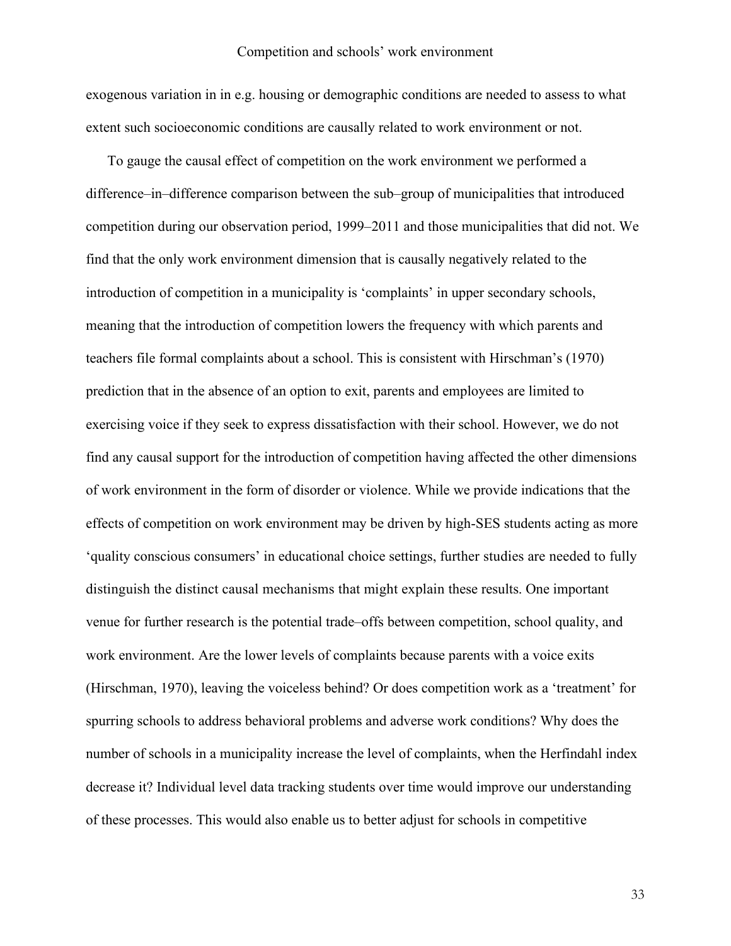exogenous variation in in e.g. housing or demographic conditions are needed to assess to what extent such socioeconomic conditions are causally related to work environment or not.

To gauge the causal effect of competition on the work environment we performed a difference–in–difference comparison between the sub–group of municipalities that introduced competition during our observation period, 1999–2011 and those municipalities that did not. We find that the only work environment dimension that is causally negatively related to the introduction of competition in a municipality is 'complaints' in upper secondary schools, meaning that the introduction of competition lowers the frequency with which parents and teachers file formal complaints about a school. This is consistent with Hirschman's [\(1970\)](#page-35-5) prediction that in the absence of an option to exit, parents and employees are limited to exercising voice if they seek to express dissatisfaction with their school. However, we do not find any causal support for the introduction of competition having affected the other dimensions of work environment in the form of disorder or violence. While we provide indications that the effects of competition on work environment may be driven by high-SES students acting as more 'quality conscious consumers' in educational choice settings, further studies are needed to fully distinguish the distinct causal mechanisms that might explain these results. One important venue for further research is the potential trade–offs between competition, school quality, and work environment. Are the lower levels of complaints because parents with a voice exits [\(Hirschman, 1970\)](#page-35-5), leaving the voiceless behind? Or does competition work as a 'treatment' for spurring schools to address behavioral problems and adverse work conditions? Why does the number of schools in a municipality increase the level of complaints, when the Herfindahl index decrease it? Individual level data tracking students over time would improve our understanding of these processes. This would also enable us to better adjust for schools in competitive

33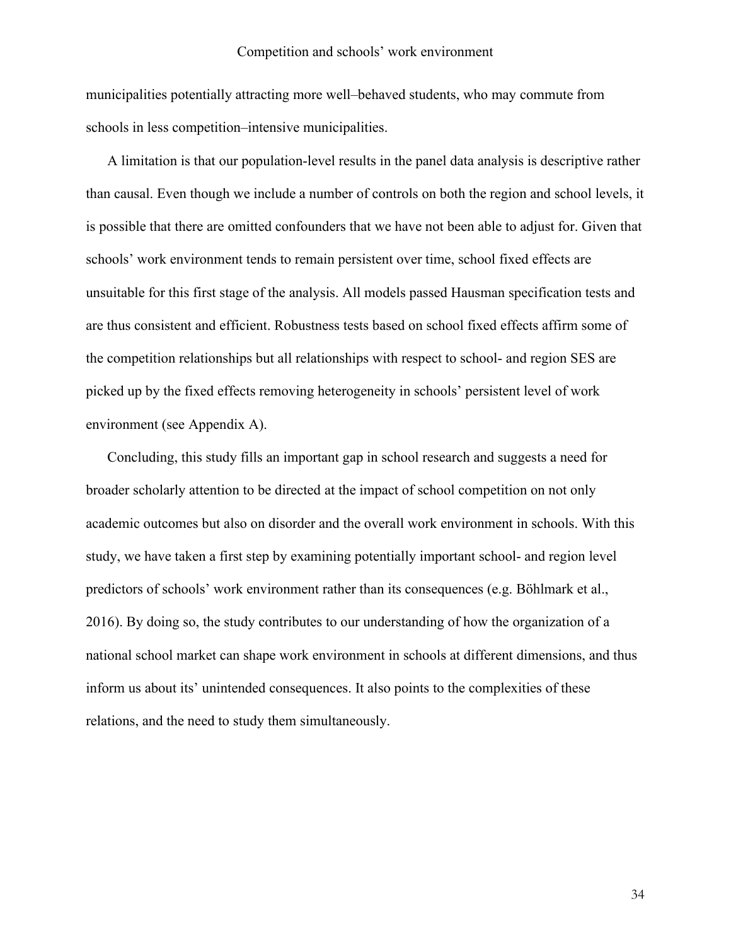municipalities potentially attracting more well–behaved students, who may commute from schools in less competition–intensive municipalities.

A limitation is that our population-level results in the panel data analysis is descriptive rather than causal. Even though we include a number of controls on both the region and school levels, it is possible that there are omitted confounders that we have not been able to adjust for. Given that schools' work environment tends to remain persistent over time, school fixed effects are unsuitable for this first stage of the analysis. All models passed Hausman specification tests and are thus consistent and efficient. Robustness tests based on school fixed effects affirm some of the competition relationships but all relationships with respect to school- and region SES are picked up by the fixed effects removing heterogeneity in schools' persistent level of work environment (see Appendix A).

Concluding, this study fills an important gap in school research and suggests a need for broader scholarly attention to be directed at the impact of school competition on not only academic outcomes but also on disorder and the overall work environment in schools. With this study, we have taken a first step by examining potentially important school- and region level predictors of schools' work environment rather than its consequences [\(e.g. Böhlmark et al.,](#page-34-11)  [2016\)](#page-34-11). By doing so, the study contributes to our understanding of how the organization of a national school market can shape work environment in schools at different dimensions, and thus inform us about its' unintended consequences. It also points to the complexities of these relations, and the need to study them simultaneously.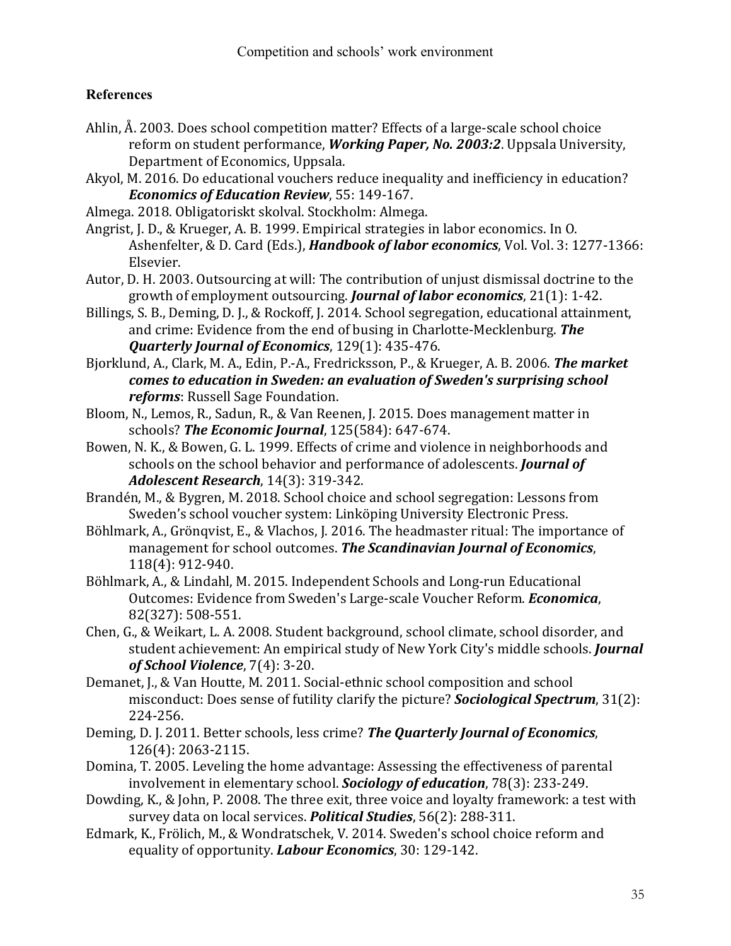## **References**

- <span id="page-34-7"></span>Ahlin, Å. 2003. Does school competition matter? Effects of a large-scale school choice reform on student performance, *Working Paper, No. 2003:2*. Uppsala University, Department of Economics, Uppsala.
- <span id="page-34-13"></span>Akyol, M. 2016. Do educational vouchers reduce inequality and inefficiency in education? *Economics of Education Review*, 55: 149-167.
- Almega. 2018. Obligatoriskt skolval. Stockholm: Almega.
- <span id="page-34-14"></span>Angrist, J. D., & Krueger, A. B. 1999. Empirical strategies in labor economics. In O. Ashenfelter, & D. Card (Eds.), *Handbook of labor economics*, Vol. Vol. 3: 1277-1366: Elsevier.
- <span id="page-34-15"></span>Autor, D. H. 2003. Outsourcing at will: The contribution of unjust dismissal doctrine to the growth of employment outsourcing. *Journal of labor economics*, 21(1): 1-42.
- <span id="page-34-2"></span>Billings, S. B., Deming, D. J., & Rockoff, J. 2014. School segregation, educational attainment, and crime: Evidence from the end of busing in Charlotte-Mecklenburg. *The Quarterly Journal of Economics*, 129(1): 435-476.
- <span id="page-34-8"></span>Bjorklund, A., Clark, M. A., Edin, P.-A., Fredricksson, P., & Krueger, A. B. 2006. *The market comes to education in Sweden: an evaluation of Sweden's surprising school reforms*: Russell Sage Foundation.
- <span id="page-34-12"></span>Bloom, N., Lemos, R., Sadun, R., & Van Reenen, J. 2015. Does management matter in schools? *The Economic Journal*, 125(584): 647-674.
- <span id="page-34-1"></span>Bowen, N. K., & Bowen, G. L. 1999. Effects of crime and violence in neighborhoods and schools on the school behavior and performance of adolescents. *Journal of Adolescent Research*, 14(3): 319-342.
- <span id="page-34-0"></span>Brandén, M., & Bygren, M. 2018. School choice and school segregation: Lessons from Sweden's school voucher system: Linköping University Electronic Press.
- <span id="page-34-11"></span>Böhlmark, A., Grönqvist, E., & Vlachos, J. 2016. The headmaster ritual: The importance of management for school outcomes. *The Scandinavian Journal of Economics*, 118(4): 912-940.
- <span id="page-34-9"></span>Böhlmark, A., & Lindahl, M. 2015. Independent Schools and Long-run Educational Outcomes: Evidence from Sweden's Large-scale Voucher Reform. *Economica*, 82(327): 508-551.
- <span id="page-34-4"></span>Chen, G., & Weikart, L. A. 2008. Student background, school climate, school disorder, and student achievement: An empirical study of New York City's middle schools. *Journal of School Violence*, 7(4): 3-20.
- <span id="page-34-5"></span>Demanet, J., & Van Houtte, M. 2011. Social-ethnic school composition and school misconduct: Does sense of futility clarify the picture? *Sociological Spectrum*, 31(2): 224-256.
- <span id="page-34-3"></span>Deming, D. J. 2011. Better schools, less crime? *The Quarterly Journal of Economics*, 126(4): 2063-2115.
- <span id="page-34-6"></span>Domina, T. 2005. Leveling the home advantage: Assessing the effectiveness of parental involvement in elementary school. *Sociology of education*, 78(3): 233-249.
- Dowding, K., & John, P. 2008. The three exit, three voice and loyalty framework: a test with survey data on local services. *Political Studies*, 56(2): 288-311.
- <span id="page-34-10"></span>Edmark, K., Frölich, M., & Wondratschek, V. 2014. Sweden's school choice reform and equality of opportunity. *Labour Economics*, 30: 129-142.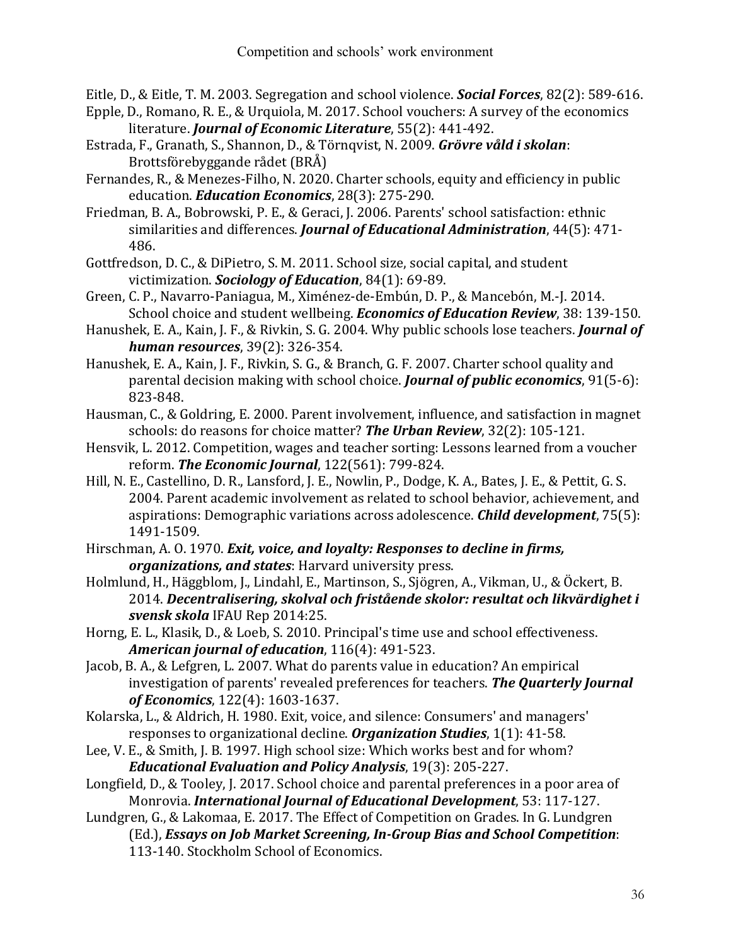<span id="page-35-10"></span>Eitle, D., & Eitle, T. M. 2003. Segregation and school violence. *Social Forces*, 82(2): 589-616.

- <span id="page-35-4"></span>Epple, D., Romano, R. E., & Urquiola, M. 2017. School vouchers: A survey of the economics literature. *Journal of Economic Literature*, 55(2): 441-492.
- <span id="page-35-0"></span>Estrada, F., Granath, S., Shannon, D., & Törnqvist, N. 2009. *Grövre våld i skolan*: Brottsförebyggande rådet (BRÅ)
- <span id="page-35-13"></span>Fernandes, R., & Menezes-Filho, N. 2020. Charter schools, equity and efficiency in public education. *Education Economics*, 28(3): 275-290.
- <span id="page-35-7"></span>Friedman, B. A., Bobrowski, P. E., & Geraci, J. 2006. Parents' school satisfaction: ethnic similarities and differences. *Journal of Educational Administration*, 44(5): 471- 486.
- <span id="page-35-16"></span>Gottfredson, D. C., & DiPietro, S. M. 2011. School size, social capital, and student victimization. *Sociology of Education*, 84(1): 69-89.
- <span id="page-35-1"></span>Green, C. P., Navarro-Paniagua, M., Ximénez-de-Embún, D. P., & Mancebón, M.-J. 2014. School choice and student wellbeing. *Economics of Education Review*, 38: 139-150.
- <span id="page-35-6"></span>Hanushek, E. A., Kain, J. F., & Rivkin, S. G. 2004. Why public schools lose teachers. *Journal of human resources*, 39(2): 326-354.
- <span id="page-35-18"></span>Hanushek, E. A., Kain, J. F., Rivkin, S. G., & Branch, G. F. 2007. Charter school quality and parental decision making with school choice. *Journal of public economics*, 91(5-6): 823-848.
- <span id="page-35-8"></span>Hausman, C., & Goldring, E. 2000. Parent involvement, influence, and satisfaction in magnet schools: do reasons for choice matter? *The Urban Review*, 32(2): 105-121.
- <span id="page-35-11"></span>Hensvik, L. 2012. Competition, wages and teacher sorting: Lessons learned from a voucher reform. *The Economic Journal*, 122(561): 799-824.
- <span id="page-35-9"></span>Hill, N. E., Castellino, D. R., Lansford, J. E., Nowlin, P., Dodge, K. A., Bates, J. E., & Pettit, G. S. 2004. Parent academic involvement as related to school behavior, achievement, and aspirations: Demographic variations across adolescence. *Child development*, 75(5): 1491-1509.
- <span id="page-35-5"></span>Hirschman, A. O. 1970. *Exit, voice, and loyalty: Responses to decline in firms, organizations, and states*: Harvard university press.
- <span id="page-35-14"></span>Holmlund, H., Häggblom, J., Lindahl, E., Martinson, S., Sjögren, A., Vikman, U., & Öckert, B. 2014. *Decentralisering, skolval och fristående skolor: resultat och likvärdighet i svensk skola* IFAU Rep 2014:25.
- <span id="page-35-15"></span>Horng, E. L., Klasik, D., & Loeb, S. 2010. Principal's time use and school effectiveness. *American journal of education*, 116(4): 491-523.
- <span id="page-35-2"></span>Jacob, B. A., & Lefgren, L. 2007. What do parents value in education? An empirical investigation of parents' revealed preferences for teachers. *The Quarterly Journal of Economics*, 122(4): 1603-1637.
- <span id="page-35-19"></span>Kolarska, L., & Aldrich, H. 1980. Exit, voice, and silence: Consumers' and managers' responses to organizational decline. *Organization Studies*, 1(1): 41-58.
- <span id="page-35-17"></span>Lee, V. E., & Smith, J. B. 1997. High school size: Which works best and for whom? *Educational Evaluation and Policy Analysis*, 19(3): 205-227.
- <span id="page-35-3"></span>Longfield, D., & Tooley, J. 2017. School choice and parental preferences in a poor area of Monrovia. *International Journal of Educational Development*, 53: 117-127.
- <span id="page-35-12"></span>Lundgren, G., & Lakomaa, E. 2017. The Effect of Competition on Grades. In G. Lundgren (Ed.), *Essays on Job Market Screening, In-Group Bias and School Competition*: 113-140. Stockholm School of Economics.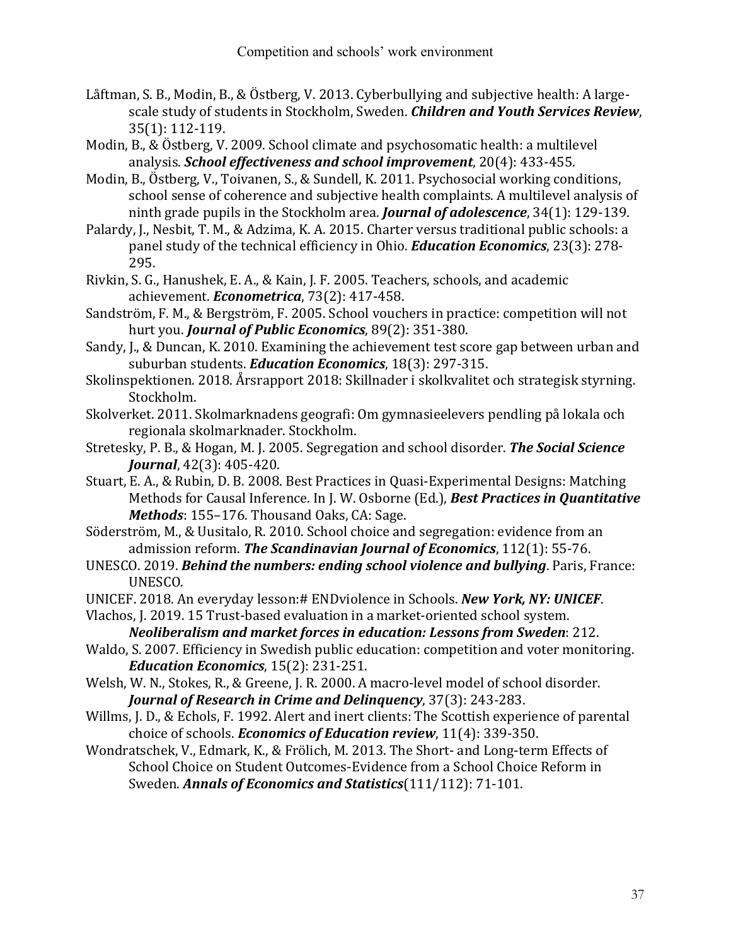- <span id="page-36-6"></span>Låftman, S. B., Modin, B., & Östberg, V. 2013. Cyberbullying and subjective health: A largescale study of students in Stockholm, Sweden. *Children and Youth Services Review*, 35(1): 112-119.
- <span id="page-36-7"></span>Modin, B., & Östberg, V. 2009. School climate and psychosomatic health: a multilevel analysis. *School effectiveness and school improvement*, 20(4): 433-455.
- <span id="page-36-8"></span>Modin, B., Östberg, V., Toivanen, S., & Sundell, K. 2011. Psychosocial working conditions, school sense of coherence and subjective health complaints. A multilevel analysis of ninth grade pupils in the Stockholm area. *Journal of adolescence*, 34(1): 129-139.
- <span id="page-36-3"></span>Palardy, J., Nesbit, T. M., & Adzima, K. A. 2015. Charter versus traditional public schools: a panel study of the technical efficiency in Ohio. *Education Economics*, 23(3): 278- 295.
- <span id="page-36-13"></span>Rivkin, S. G., Hanushek, E. A., & Kain, J. F. 2005. Teachers, schools, and academic achievement. *Econometrica*, 73(2): 417-458.
- <span id="page-36-10"></span>Sandström, F. M., & Bergström, F. 2005. School vouchers in practice: competition will not hurt you. *Journal of Public Economics*, 89(2): 351-380.
- <span id="page-36-16"></span>Sandy, J., & Duncan, K. 2010. Examining the achievement test score gap between urban and suburban students. *Education Economics*, 18(3): 297-315.
- <span id="page-36-0"></span>Skolinspektionen. 2018. Årsrapport 2018: Skillnader i skolkvalitet och strategisk styrning. Stockholm.
- <span id="page-36-15"></span>Skolverket. 2011. Skolmarknadens geografi: Om gymnasieelevers pendling på lokala och regionala skolmarknader. Stockholm.
- <span id="page-36-4"></span>Stretesky, P. B., & Hogan, M. J. 2005. Segregation and school disorder. *The Social Science Journal*, 42(3): 405-420.
- <span id="page-36-17"></span>Stuart, E. A., & Rubin, D. B. 2008. Best Practices in Quasi-Experimental Designs: Matching Methods for Causal Inference. In J. W. Osborne (Ed.), *Best Practices in Quantitative Methods*: 155–176. Thousand Oaks, CA: Sage.
- <span id="page-36-9"></span>Söderström, M., & Uusitalo, R. 2010. School choice and segregation: evidence from an admission reform. *The Scandinavian Journal of Economics*, 112(1): 55-76.
- <span id="page-36-1"></span>UNESCO. 2019. *Behind the numbers: ending school violence and bullying*. Paris, France: UNESCO.
- <span id="page-36-2"></span>UNICEF. 2018. An everyday lesson:# ENDviolence in Schools. *New York, NY: UNICEF*.
- <span id="page-36-12"></span>Vlachos, J. 2019. 15 Trust-based evaluation in a market-oriented school system. *Neoliberalism and market forces in education: Lessons from Sweden*: 212.
- <span id="page-36-14"></span>Waldo, S. 2007. Efficiency in Swedish public education: competition and voter monitoring. *Education Economics*, 15(2): 231-251.
- <span id="page-36-5"></span>Welsh, W. N., Stokes, R., & Greene, J. R. 2000. A macro-level model of school disorder. *Journal of Research in Crime and Delinquency*, 37(3): 243-283.
- Willms, J. D., & Echols, F. 1992. Alert and inert clients: The Scottish experience of parental choice of schools. *Economics of Education review*, 11(4): 339-350.
- <span id="page-36-11"></span>Wondratschek, V., Edmark, K., & Frölich, M. 2013. The Short- and Long-term Effects of School Choice on Student Outcomes-Evidence from a School Choice Reform in Sweden. *Annals of Economics and Statistics*(111/112): 71-101.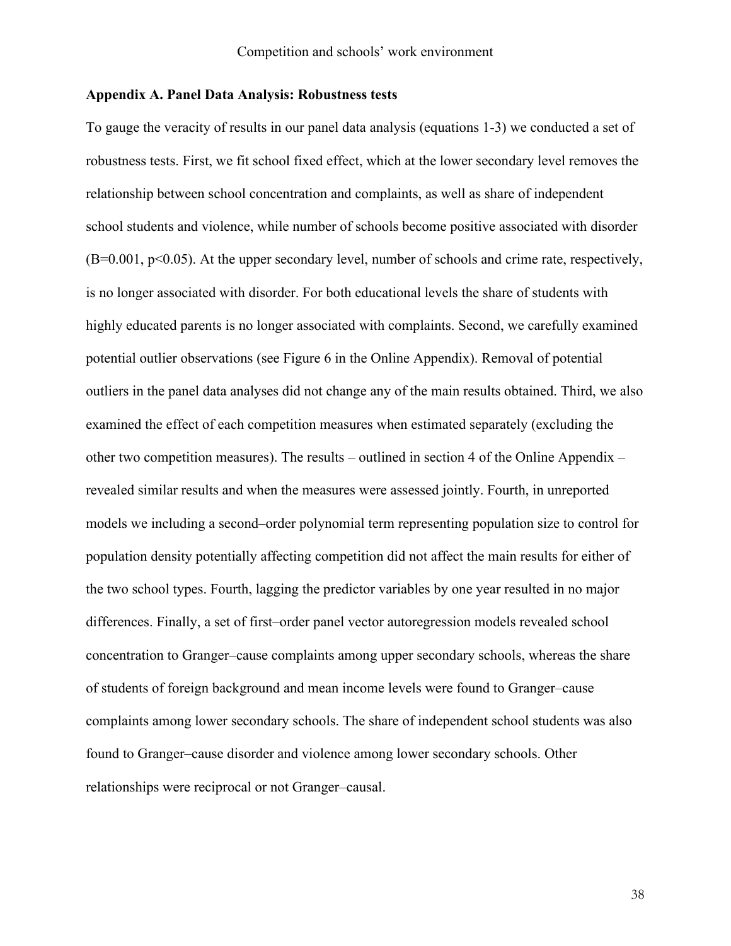#### **Appendix A. Panel Data Analysis: Robustness tests**

To gauge the veracity of results in our panel data analysis (equations 1-3) we conducted a set of robustness tests. First, we fit school fixed effect, which at the lower secondary level removes the relationship between school concentration and complaints, as well as share of independent school students and violence, while number of schools become positive associated with disorder  $(B=0.001, p<0.05)$ . At the upper secondary level, number of schools and crime rate, respectively, is no longer associated with disorder. For both educational levels the share of students with highly educated parents is no longer associated with complaints. Second, we carefully examined potential outlier observations (see Figure 6 in the Online Appendix). Removal of potential outliers in the panel data analyses did not change any of the main results obtained. Third, we also examined the effect of each competition measures when estimated separately (excluding the other two competition measures). The results – outlined in section 4 of the Online Appendix – revealed similar results and when the measures were assessed jointly. Fourth, in unreported models we including a second–order polynomial term representing population size to control for population density potentially affecting competition did not affect the main results for either of the two school types. Fourth, lagging the predictor variables by one year resulted in no major differences. Finally, a set of first–order panel vector autoregression models revealed school concentration to Granger–cause complaints among upper secondary schools, whereas the share of students of foreign background and mean income levels were found to Granger–cause complaints among lower secondary schools. The share of independent school students was also found to Granger–cause disorder and violence among lower secondary schools. Other relationships were reciprocal or not Granger–causal.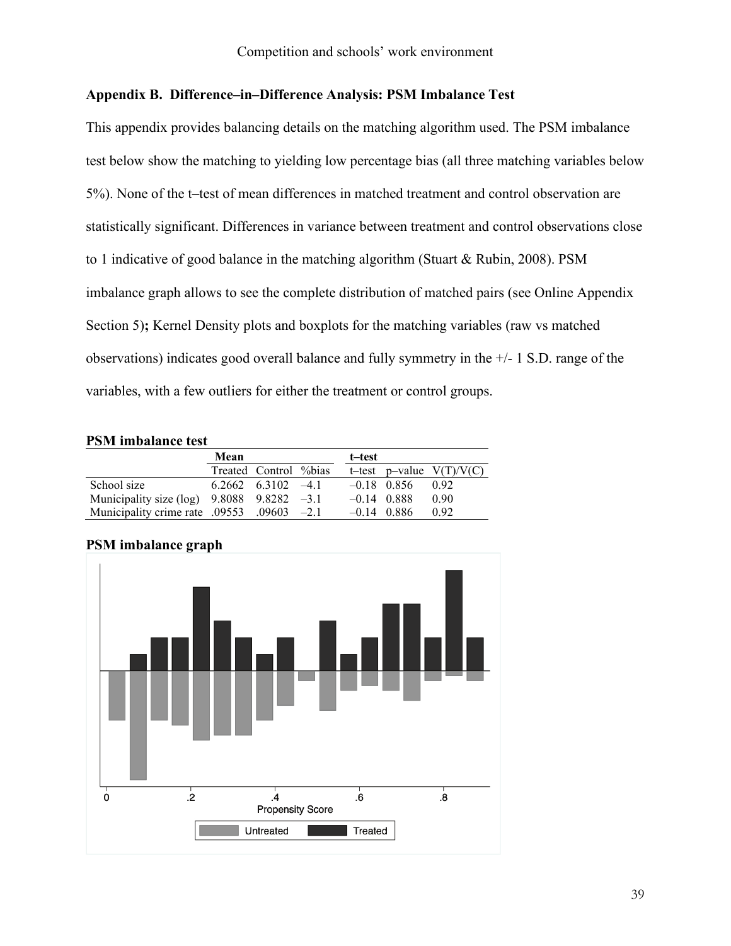## **Appendix B. Difference–in–Difference Analysis: PSM Imbalance Test**

This appendix provides balancing details on the matching algorithm used. The PSM imbalance test below show the matching to yielding low percentage bias (all three matching variables below 5%). None of the t–test of mean differences in matched treatment and control observation are statistically significant. Differences in variance between treatment and control observations close to 1 indicative of good balance in the matching algorithm [\(Stuart & Rubin, 2008\)](#page-36-17). PSM imbalance graph allows to see the complete distribution of matched pairs (see Online Appendix Section 5)**;** Kernel Density plots and boxplots for the matching variables (raw vs matched observations) indicates good overall balance and fully symmetry in the +/- 1 S.D. range of the variables, with a few outliers for either the treatment or control groups.

## **PSM imbalance test**

|                                                  | Mean |                          | t–test        |                            |
|--------------------------------------------------|------|--------------------------|---------------|----------------------------|
|                                                  |      | Treated Control %bias    |               | t-test p-value $V(T)/V(C)$ |
| School size                                      |      | $6.2662$ $6.3102$ $-4.1$ | $-0.18$ 0.856 | 0.92                       |
| Municipality size (log) $9.8088$ $9.8282$ $-3.1$ |      |                          | $-0.14$ 0.888 | 0.90                       |
| Municipality crime rate .09553 .09603 -2.1       |      |                          | $-0.14$ 0.886 | 0.92                       |

# $\frac{1}{2}$ 6.  $\dot{\mathbf{8}}$ . 0  $\mathbf{A}$ **Propensity Score** Untreated Treated

## **PSM imbalance graph**